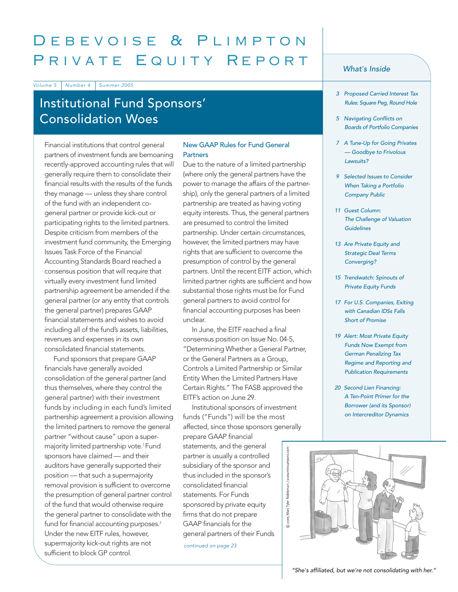# Debevoise & Plimpton PRIVATE EQUITY REPORT

Volume 5 Number 4 Summer 2005

# Institutional Fund Sponsors' Consolidation Woes

Financial institutions that control general partners of investment funds are bemoaning recently-approved accounting rules that will generally require them to consolidate their financial results with the results of the funds they manage — unless they share control of the fund with an independent cogeneral partner or provide kick-out or participating rights to the limited partners. Despite criticism from members of the investment fund community, the Emerging Issues Task Force of the Financial Accounting Standards Board reached a consensus position that will require that virtually every investment fund limited partnership agreement be amended if the general partner (or any entity that controls the general partner) prepares GAAP financial statements and wishes to avoid including all of the fund's assets, liabilities, revenues and expenses in its own consolidated financial statements.

Fund sponsors that prepare GAAP financials have generally avoided consolidation of the general partner (and thus themselves, where they control the general partner) with their investment funds by including in each fund's limited partnership agreement a provision allowing the limited partners to remove the general partner "without cause" upon a supermajority limited partnership vote.<sup>1</sup> Fund sponsors have claimed — and their auditors have generally supported their position — that such a supermajority removal provision is sufficient to overcome the presumption of general partner control of the fund that would otherwise require the general partner to consolidate with the fund for financial accounting purposes.<sup>2</sup> Under the new EITF rules, however, supermajority kick-out rights are not sufficient to block GP control.

### New GAAP Rules for Fund General **Partners**

Due to the nature of a limited partnership (where only the general partners have the power to manage the affairs of the partnership), only the general partners of a limited partnership are treated as having voting equity interests. Thus, the general partners are presumed to control the limited partnership. Under certain circumstances, however, the limited partners may have rights that are sufficient to overcome the presumption of control by the general partners. Until the recent EITF action, which limited partner rights are sufficient and how substantial those rights must be for Fund general partners to avoid control for financial accounting purposes has been unclear.

In June, the EITF reached a final consensus position on Issue No. 04-5, "Determining Whether a General Partner, or the General Partners as a Group, Controls a Limited Partnership or Similar Entity When the Limited Partners Have Certain Rights." The FASB approved the EITF's action on June 29.

Institutional sponsors of investment funds ("Funds") will be the most affected, since those sponsors generally

prepare GAAP financial statements, and the general partner is usually a controlled subsidiary of the sponsor and thus included in the sponsor's consolidated financial statements. For Funds sponsored by private equity firms that do not prepare GAAP financials for the general partners of their Funds

continued on page 23

#### What*'*s Inside

- 3 Proposed Carried Interest Tax Rules: Square Peg, Round Hole
- 5 Navigating Conflicts on Boards of Portfolio Companies
- <sup>7</sup> A Tune-Up for Going Privates — Goodbye to Frivolous Lawsuits?
- 9 Selected Issues to Consider When Taking a Portfolio Company Public
- 11 Guest Column: The Challenge of Valuation **Guidelines**
- 13 Are Private Equity and Strategic Deal Terms Converging?
- <sup>15</sup> Trendwatch: Spinouts of Private Equity Funds
- 17 For U.S. Companies, Exiting with Canadian IDSs Falls Short of Promise
- 19 Alert: Most Private Equity Funds Now Exempt from German Penalizing Tax Regime and Reporting and Publication Requirements
- 20 Second Lien Financing: A Ten-Point Primer for the Borrower (and its Sponsor) on Intercreditor Dynamics



"She's affiliated, but we're not consolidating with her."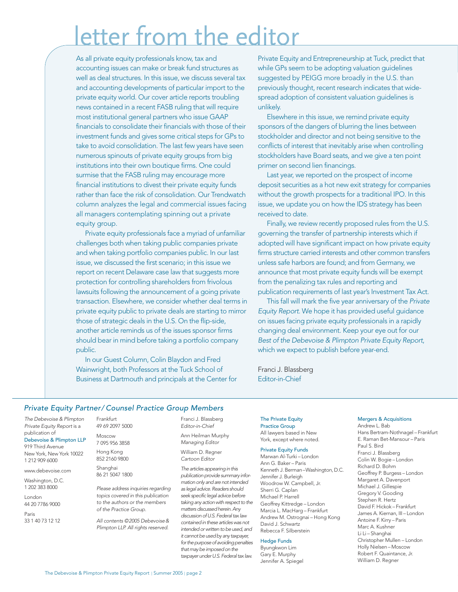# etter from the editor

As all private equity professionals know, tax and accounting issues can make or break fund structures as well as deal structures. In this issue, we discuss several tax and accounting developments of particular import to the private equity world. Our cover article reports troubling news contained in a recent FASB ruling that will require most institutional general partners who issue GAAP financials to consolidate their financials with those of their investment funds and gives some critical steps for GPs to take to avoid consolidation. The last few years have seen numerous spinouts of private equity groups from big institutions into their own boutique firms. One could surmise that the FASB ruling may encourage more financial institutions to divest their private equity funds rather than face the risk of consolidation. Our Trendwatch column analyzes the legal and commercial issues facing all managers contemplating spinning out a private equity group.

Private equity professionals face a myriad of unfamiliar challenges both when taking public companies private and when taking portfolio companies public. In our last issue, we discussed the first scenario; in this issue we report on recent Delaware case law that suggests more protection for controlling shareholders from frivolous lawsuits following the announcement of a going private transaction. Elsewhere, we consider whether deal terms in private equity public to private deals are starting to mirror those of strategic deals in the U.S. On the flip-side, another article reminds us of the issues sponsor firms should bear in mind before taking a portfolio company public.

In our Guest Column, Colin Blaydon and Fred Wainwright, both Professors at the Tuck School of Business at Dartmouth and principals at the Center for

Private Equity and Entrepreneurship at Tuck, predict that while GPs seem to be adopting valuation guidelines suggested by PEIGG more broadly in the U.S. than previously thought, recent research indicates that widespread adoption of consistent valuation guidelines is unlikely.

Elsewhere in this issue, we remind private equity sponsors of the dangers of blurring the lines between stockholder and director and not being sensitive to the conflicts of interest that inevitably arise when controlling stockholders have Board seats, and we give a ten point primer on second lien financings.

Last year, we reported on the prospect of income deposit securities as a hot new exit strategy for companies without the growth prospects for a traditional IPO. In this issue, we update you on how the IDS strategy has been received to date.

Finally, we review recently proposed rules from the U.S. governing the transfer of partnership interests which if adopted will have significant impact on how private equity firms structure carried interests and other common transfers unless safe harbors are found; and from Germany, we announce that most private equity funds will be exempt from the penalizing tax rules and reporting and publication requirements of last year's Investment Tax Act.

This fall will mark the five year anniversary of the Private Equity Report. We hope it has provided useful guidance on issues facing private equity professionals in a rapidly changing deal environment. Keep your eye out for our Best of the Debevoise & Plimpton Private Equity Report, which we expect to publish before year-end.

Franci J. Blassberg Editor-in-Chief

#### Private Equity Partner/ Counsel Practice Group Members

The Debevoise & Plimpton Private Equity Report is a publication of Debevoise & Plimpton LLP

919 Third Avenue New York, New York 10022 1 212 909 6000

www.debevoise.com

Washington, D.C. 1 202 383 8000

London 44 20 7786 9000 Paris

33 1 40 73 12 12

49 69 2097 5000 Moscow 7 095 956 3858 Hong Kong 852 2160 9800 Shanghai

86 21 5047 1800

Frankfurt

Please address inquiries regarding topics covered in this publication to the authors or the members of the Practice Group.

All contents ©2005 Debevoise& Plimpton LLP. All rights reserved.

Franci J. Blassberg Editor-in-Chief Ann Heilman Murphy

Managing Editor William D. Regner Cartoon Editor

The articles appearing in this publication provide summary information only and are not intended as legal advice. Readers should seek specific legal advice before taking any action with respect to the matters discussed herein. Any discussion of U.S. Federal tax law contained in these articles was not intended or written to be used, and it cannot be used by any taxpayer, for the purpose of avoiding penalties that may be imposed on the taxpayer under U.S. Federal tax law.

The Private Equity Practice Group All lawyers based in New York, except where noted.

#### Private Equity Funds

Marwan Al-Turki – London Ann G. Baker – Paris Kenneth J. Berman–Washington, D.C. Jennifer J. Burleigh Woodrow W. Campbell, Jr. Sherri G. Caplan Michael P. Harrell Geoffrey Kittredge – London Marcia L. MacHarg – Frankfurt Andrew M. Ostrognai – Hong Kong David J. Schwartz Rebecca F. Silberstein

#### Hedge Funds

Byungkwon Lim Gary E. Murphy Jennifer A. Spiegel

#### Mergers & Acquisitions

Andrew L. Bab Hans Bertram-Nothnagel – Frankfurt E. Raman Bet-Mansour – Paris Paul S. Bird Franci J. Blassberg Colin W. Bogie – London Richard D. Bohm Geoffrey P. Burgess – London Margaret A. Davenport Michael J. Gillespie Gregory V. Gooding Stephen R. Hertz David F. Hickok – Frankfurt James A. Kiernan, III – London Antoine F. Kirry – Paris Marc A. Kushner Li Li – Shanghai Christopher Mullen – London Holly Nielsen – Moscow Robert F. Quaintance, Jr. William D. Regner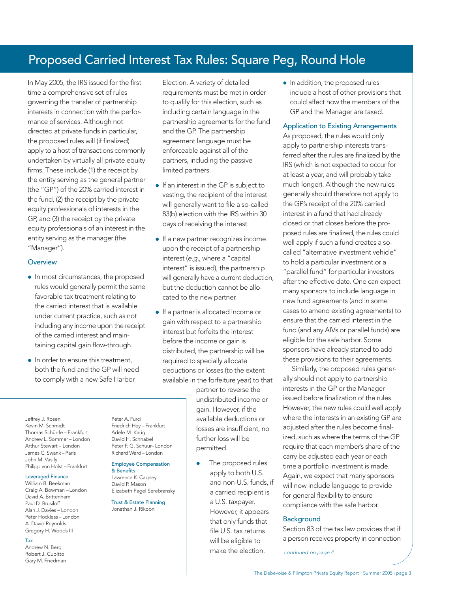# Proposed Carried Interest Tax Rules: Square Peg, Round Hole

In May 2005, the IRS issued for the first time a comprehensive set of rules governing the transfer of partnership interests in connection with the performance of services. Although not directed at private funds in particular, the proposed rules will (if finalized) apply to a host of transactions commonly undertaken by virtually all private equity firms. These include (1) the receipt by the entity serving as the general partner (the "GP") of the 20% carried interest in the fund, (2) the receipt by the private equity professionals of interests in the GP, and (3) the receipt by the private equity professionals of an interest in the entity serving as the manager (the "Manager").

#### **Overview**

- In most circumstances, the proposed rules would generally permit the same favorable tax treatment relating to the carried interest that is available under current practice, such as not including any income upon the receipt of the carried interest and maintaining capital gain flow-through.
- In order to ensure this treatment both the fund and the GP will need to comply with a new Safe Harbor

Peter A. Furci Friedrich Hey – Frankfurt Adele M. Karig David H. Schnabel Peter F. G. Schuur– London Richard Ward – London Employee Compensation

& Benefits Lawrence K. Cagney David P. Mason

Elizabeth Pagel Serebransky Trust & Estate Planning Jonathan J. Rikoon

Election. A variety of detailed requirements must be met in order to qualify for this election, such as including certain language in the partnership agreements for the fund and the GP. The partnership agreement language must be enforceable against all of the partners, including the passive limited partners.

- If an interest in the GP is subject to vesting, the recipient of the interest will generally want to file a so-called 83(b) election with the IRS within 30 days of receiving the interest.
- If a new partner recognizes income upon the receipt of a partnership interest (e.g., where a "capital interest" is issued), the partnership will generally have a current deduction, but the deduction cannot be allocated to the new partner.
- If a partner is allocated income or gain with respect to a partnership interest but forfeits the interest before the income or gain is distributed, the partnership will be required to specially allocate deductions or losses (to the extent available in the forfeiture year) to that

partner to reverse the undistributed income or gain. However, if the available deductions or losses are insufficient, no further loss will be permitted.

> • The proposed rules apply to both U.S. and non-U.S. funds, if a carried recipient is a U.S. taxpayer. However, it appears that only funds that file U.S. tax returns will be eligible to make the election.

• In addition, the proposed rules include a host of other provisions that could affect how the members of the GP and the Manager are taxed.

#### Application to Existing Arrangements

As proposed, the rules would only apply to partnership interests transferred after the rules are finalized by the IRS (which is not expected to occur for at least a year, and will probably take much longer). Although the new rules generally should therefore not apply to the GP's receipt of the 20% carried interest in a fund that had already closed or that closes before the proposed rules are finalized, the rules could well apply if such a fund creates a socalled "alternative investment vehicle" to hold a particular investment or a "parallel fund" for particular investors after the effective date. One can expect many sponsors to include language in new fund agreements (and in some cases to amend existing agreements) to ensure that the carried interest in the fund (and any AIVs or parallel funds) are eligible for the safe harbor. Some sponsors have already started to add these provisions to their agreements.

Similarly, the proposed rules generally should not apply to partnership interests in the GP or the Manager issued before finalization of the rules. However, the new rules could well apply where the interests in an existing GP are adjusted after the rules become finalized, such as where the terms of the GP require that each member's share of the carry be adjusted each year or each time a portfolio investment is made. Again, we expect that many sponsors will now include language to provide for general flexibility to ensure compliance with the safe harbor.

#### **Background**

Section 83 of the tax law provides that if a person receives property in connection

continued on page 4

Jeffrey J. Rosen Kevin M. Schmidt Thomas Schürrle – Frankfurt Andrew L. Sommer – London Arthur Stewart – London James C. Swank – Paris John M. Vasily Philipp von Holst – Frankfurt

#### Leveraged Finance

William B. Beekman Craig A. Bowman – London David A. Brittenham Paul D. Brusiloff Alan J. Davies – London Peter Hockless – London A. David Reynolds Gregory H. Woods III

#### Tax

Andrew N. Berg Robert J. Cubitto Gary M. Friedman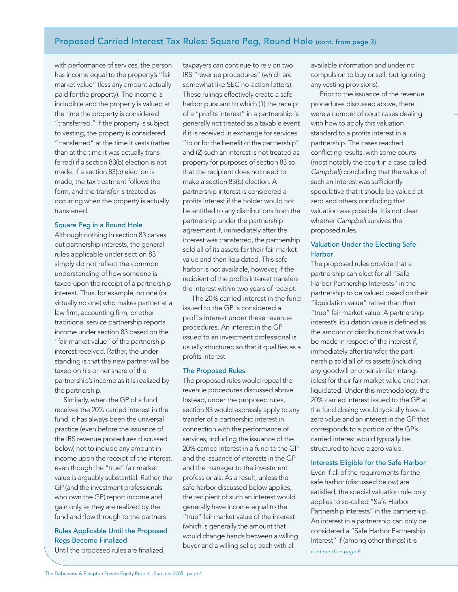# Proposed Carried Interest Tax Rules: Square Peg, Round Hole (cont. from page 3)

with performance of services, the person has income equal to the property's "fair market value" (less any amount actually paid for the property). The income is includible and the property is valued at the time the property is considered "transferred." If the property is subject to vesting, the property is considered "transferred" at the time it vests (rather than at the time it was actually transferred) if a section 83(b) election is not made. If a section 83(b) election is made, the tax treatment follows the form, and the transfer is treated as occurring when the property is actually transferred.

#### Square Peg in a Round Hole

Although nothing in section 83 carves out partnership interests, the general rules applicable under section 83 simply do not reflect the common understanding of how someone is taxed upon the receipt of a partnership interest. Thus, for example, no one (or virtually no one) who makes partner at a law firm, accounting firm, or other traditional service partnership reports income under section 83 based on the "fair market value" of the partnership interest received. Rather, the understanding is that the new partner will be taxed on his or her share of the partnership's income as it is realized by the partnership.

Similarly, when the GP of a fund receives the 20% carried interest in the fund, it has always been the universal practice (even before the issuance of the IRS revenue procedures discussed below) not to include any amount in income upon the receipt of the interest, even though the "true" fair market value is arguably substantial. Rather, the GP (and the investment professionals who own the GP) report income and gain only as they are realized by the fund and flow through to the partners.

## Rules Applicable Until the Proposed Regs Become Finalized

Until the proposed rules are finalized,

taxpayers can continue to rely on two IRS "revenue procedures" (which are somewhat like SEC no-action letters). These rulings effectively create a safe harbor pursuant to which (1) the receipt of a "profits interest" in a partnership is generally not treated as a taxable event if it is received in exchange for services "to or for the benefit of the partnership" and (2) such an interest is not treated as property for purposes of section 83 so that the recipient does not need to make a section 83(b) election. A partnership interest is considered a profits interest if the holder would not be entitled to any distributions from the partnership under the partnership agreement if, immediately after the interest was transferred, the partnership sold all of its assets for their fair market value and then liquidated. This safe harbor is not available, however, if the recipient of the profits interest transfers the interest within two years of receipt.

The 20% carried interest in the fund issued to the GP is considered a profits interest under these revenue procedures. An interest in the GP issued to an investment professional is usually structured so that it qualifies as a profits interest.

#### The Proposed Rules

The proposed rules would repeal the revenue procedures discussed above. Instead, under the proposed rules, section 83 would expressly apply to any transfer of a partnership interest in connection with the performance of services, including the issuance of the 20% carried interest in a fund to the GP and the issuance of interests in the GP and the manager to the investment professionals. As a result, unless the safe harbor discussed below applies, the recipient of such an interest would generally have income equal to the "true" fair market value of the interest (which is generally the amount that would change hands between a willing buyer and a willing seller, each with all

available information and under no compulsion to buy or sell, but ignoring any vesting provisions).

Prior to the issuance of the revenue procedures discussed above, there were a number of court cases dealing with how to apply this valuation standard to a profits interest in a partnership. The cases reached conflicting results, with some courts (most notably the court in a case called Campbell) concluding that the value of such an interest was sufficiently speculative that it should be valued at zero and others concluding that valuation was possible. It is not clear whether Campbell survives the proposed rules.

#### Valuation Under the Electing Safe **Harbor**

The proposed rules provide that a partnership can elect for all "Safe Harbor Partnership Interests" in the partnership to be valued based on their "liquidation value" rather than their "true" fair market value. A partnership interest's liquidation value is defined as the amount of distributions that would be made in respect of the interest if, immediately after transfer, the partnership sold all of its assets (including any goodwill or other similar intangibles) for their fair market value and then liquidated. Under this methodology, the 20% carried interest issued to the GP at the fund closing would typically have a zero value and an interest in the GP that corresponds to a portion of the GP's carried interest would typically be structured to have a zero value.

#### Interests Eligible for the Safe Harbor

Even if all of the requirements for the safe harbor (discussed below) are satisfied, the special valuation rule only applies to so-called "Safe Harbor Partnership Interests" in the partnership. An interest in a partnership can only be considered a "Safe Harbor Partnership Interest" if (among other things) it is continued on page 8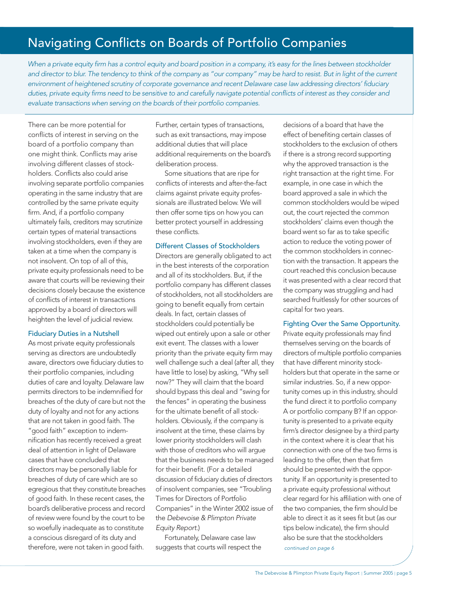# Navigating Conflicts on Boards of Portfolio Companies

When a private equity firm has a control equity and board position in a company, it's easy for the lines between stockholder and director to blur. The tendency to think of the company as "our company" may be hard to resist. But in light of the current environment of heightened scrutiny of corporate governance and recent Delaware case law addressing directors' fiduciary duties, private equity firms need to be sensitive to and carefully navigate potential conflicts of interest as they consider and evaluate transactions when serving on the boards of their portfolio companies.

There can be more potential for conflicts of interest in serving on the board of a portfolio company than one might think. Conflicts may arise involving different classes of stockholders. Conflicts also could arise involving separate portfolio companies operating in the same industry that are controlled by the same private equity firm. And, if a portfolio company ultimately fails, creditors may scrutinize certain types of material transactions involving stockholders, even if they are taken at a time when the company is not insolvent. On top of all of this, private equity professionals need to be aware that courts will be reviewing their decisions closely because the existence of conflicts of interest in transactions approved by a board of directors will heighten the level of judicial review.

#### Fiduciary Duties in a Nutshell

As most private equity professionals serving as directors are undoubtedly aware, directors owe fiduciary duties to their portfolio companies, including duties of care and loyalty. Delaware law permits directors to be indemnified for breaches of the duty of care but not the duty of loyalty and not for any actions that are not taken in good faith. The "good faith" exception to indemnification has recently received a great deal of attention in light of Delaware cases that have concluded that directors may be personally liable for breaches of duty of care which are so egregious that they constitute breaches of good faith. In these recent cases, the board's deliberative process and record of review were found by the court to be so woefully inadequate as to constitute a conscious disregard of its duty and therefore, were not taken in good faith.

Further, certain types of transactions, such as exit transactions, may impose additional duties that will place additional requirements on the board's deliberation process.

Some situations that are ripe for conflicts of interests and after-the-fact claims against private equity professionals are illustrated below. We will then offer some tips on how you can better protect yourself in addressing these conflicts.

#### Different Classes of Stockholders

Directors are generally obligated to act in the best interests of the corporation and all of its stockholders. But, if the portfolio company has different classes of stockholders, not all stockholders are going to benefit equally from certain deals. In fact, certain classes of stockholders could potentially be wiped out entirely upon a sale or other exit event. The classes with a lower priority than the private equity firm may well challenge such a deal (after all, they have little to lose) by asking, "Why sell now?" They will claim that the board should bypass this deal and "swing for the fences" in operating the business for the ultimate benefit of all stockholders. Obviously, if the company is insolvent at the time, these claims by lower priority stockholders will clash with those of creditors who will argue that the business needs to be managed for their benefit. (For a detailed discussion of fiduciary duties of directors of insolvent companies, see "Troubling Times for Directors of Portfolio Companies" in the Winter 2002 issue of the Debevoise & Plimpton Private Equity Report.)

Fortunately, Delaware case law suggests that courts will respect the

decisions of a board that have the effect of benefiting certain classes of stockholders to the exclusion of others if there is a strong record supporting why the approved transaction is the right transaction at the right time. For example, in one case in which the board approved a sale in which the common stockholders would be wiped out, the court rejected the common stockholders' claims even though the board went so far as to take specific action to reduce the voting power of the common stockholders in connection with the transaction. It appears the court reached this conclusion because it was presented with a clear record that the company was struggling and had searched fruitlessly for other sources of capital for two years.

#### Fighting Over the Same Opportunity.

Private equity professionals may find themselves serving on the boards of directors of multiple portfolio companies that have different minority stockholders but that operate in the same or similar industries. So, if a new opportunity comes up in this industry, should the fund direct it to portfolio company A or portfolio company B? If an opportunity is presented to a private equity firm's director designee by a third party in the context where it is clear that his connection with one of the two firms is leading to the offer, then that firm should be presented with the opportunity. If an opportunity is presented to a private equity professional without clear regard for his affiliation with one of the two companies, the firm should be able to direct it as it sees fit but (as our tips below indicate), the firm should also be sure that the stockholders continued on page 6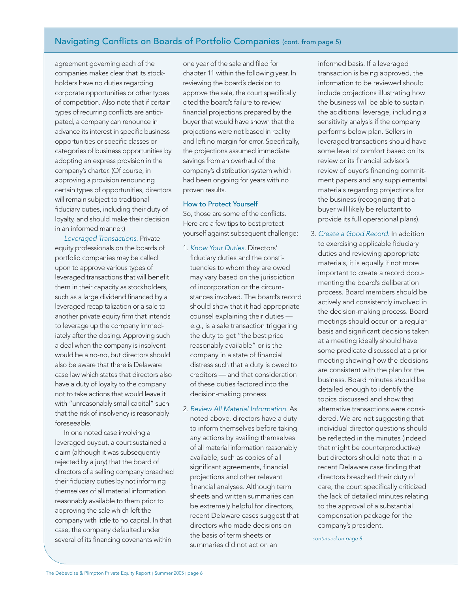# Navigating Conflicts on Boards of Portfolio Companies (cont. from page 5)

agreement governing each of the companies makes clear that its stockholders have no duties regarding corporate opportunities or other types of competition. Also note that if certain types of recurring conflicts are anticipated, a company can renounce in advance its interest in specific business opportunities or specific classes or categories of business opportunities by adopting an express provision in the company's charter. (Of course, in approving a provision renouncing certain types of opportunities, directors will remain subject to traditional fiduciary duties, including their duty of loyalty, and should make their decision in an informed manner.)

Leveraged Transactions. Private equity professionals on the boards of portfolio companies may be called upon to approve various types of leveraged transactions that will benefit them in their capacity as stockholders, such as a large dividend financed by a leveraged recapitalization or a sale to another private equity firm that intends to leverage up the company immediately after the closing. Approving such a deal when the company is insolvent would be a no-no, but directors should also be aware that there is Delaware case law which states that directors also have a duty of loyalty to the company not to take actions that would leave it with "unreasonably small capital" such that the risk of insolvency is reasonably foreseeable.

In one noted case involving a leveraged buyout, a court sustained a claim (although it was subsequently rejected by a jury) that the board of directors of a selling company breached their fiduciary duties by not informing themselves of all material information reasonably available to them prior to approving the sale which left the company with little to no capital. In that case, the company defaulted under several of its financing covenants within

one year of the sale and filed for chapter 11 within the following year. In reviewing the board's decision to approve the sale, the court specifically cited the board's failure to review financial projections prepared by the buyer that would have shown that the projections were not based in reality and left no margin for error. Specifically, the projections assumed immediate savings from an overhaul of the company's distribution system which had been ongoing for years with no proven results.

#### How to Protect Yourself

So, those are some of the conflicts. Here are a few tips to best protect yourself against subsequent challenge:

- 1. Know Your Duties. Directors' fiduciary duties and the constituencies to whom they are owed may vary based on the jurisdiction of incorporation or the circumstances involved. The board's record should show that it had appropriate counsel explaining their duties e.g., is a sale transaction triggering the duty to get "the best price reasonably available" or is the company in a state of financial distress such that a duty is owed to creditors — and that consideration of these duties factored into the decision-making process.
- 2. Review All Material Information. As noted above, directors have a duty to inform themselves before taking any actions by availing themselves of all material information reasonably available, such as copies of all significant agreements, financial projections and other relevant financial analyses. Although term sheets and written summaries can be extremely helpful for directors, recent Delaware cases suggest that directors who made decisions on the basis of term sheets or summaries did not act on an

informed basis. If a leveraged transaction is being approved, the information to be reviewed should include projections illustrating how the business will be able to sustain the additional leverage, including a sensitivity analysis if the company performs below plan. Sellers in leveraged transactions should have some level of comfort based on its review or its financial advisor's review of buyer's financing commitment papers and any supplemental materials regarding projections for the business (recognizing that a buyer will likely be reluctant to provide its full operational plans).

3. Create a Good Record. In addition to exercising applicable fiduciary duties and reviewing appropriate materials, it is equally if not more important to create a record documenting the board's deliberation process. Board members should be actively and consistently involved in the decision-making process. Board meetings should occur on a regular basis and significant decisions taken at a meeting ideally should have some predicate discussed at a prior meeting showing how the decisions are consistent with the plan for the business. Board minutes should be detailed enough to identify the topics discussed and show that alternative transactions were considered. We are not suggesting that individual director questions should be reflected in the minutes (indeed that might be counterproductive) but directors should note that in a recent Delaware case finding that directors breached their duty of care, the court specifically criticized the lack of detailed minutes relating to the approval of a substantial compensation package for the company's president.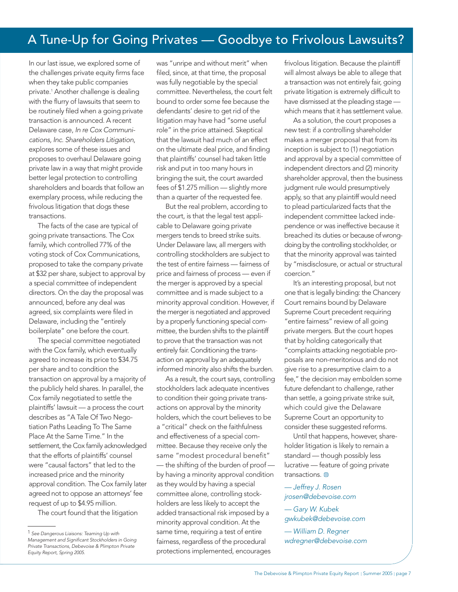# A Tune-Up for Going Privates — Goodbye to Frivolous Lawsuits?

In our last issue, we explored some of the challenges private equity firms face when they take public companies private.1 Another challenge is dealing with the flurry of lawsuits that seem to be routinely filed when a going private transaction is announced. A recent Delaware case, In re Cox Communications, Inc. Shareholders Litigation, explores some of these issues and proposes to overhaul Delaware going private law in a way that might provide better legal protection to controlling shareholders and boards that follow an exemplary process, while reducing the frivolous litigation that dogs these transactions.

The facts of the case are typical of going private transactions. The Cox family, which controlled 77% of the voting stock of Cox Communications, proposed to take the company private at \$32 per share, subject to approval by a special committee of independent directors. On the day the proposal was announced, before any deal was agreed, six complaints were filed in Delaware, including the "entirely boilerplate" one before the court.

The special committee negotiated with the Cox family, which eventually agreed to increase its price to \$34.75 per share and to condition the transaction on approval by a majority of the publicly held shares. In parallel, the Cox family negotiated to settle the plaintiffs' lawsuit — a process the court describes as "A Tale Of Two Negotiation Paths Leading To The Same Place At the Same Time." In the settlement, the Cox family acknowledged that the efforts of plaintiffs' counsel were "causal factors" that led to the increased price and the minority approval condition. The Cox family later agreed not to oppose an attorneys' fee request of up to \$4.95 million.

The court found that the litigation

was "unripe and without merit" when filed, since, at that time, the proposal was fully negotiable by the special committee. Nevertheless, the court felt bound to order some fee because the defendants' desire to get rid of the litigation may have had "some useful role" in the price attained. Skeptical that the lawsuit had much of an effect on the ultimate deal price, and finding that plaintiffs' counsel had taken little risk and put in too many hours in bringing the suit, the court awarded fees of \$1.275 million — slightly more than a quarter of the requested fee.

But the real problem, according to the court, is that the legal test applicable to Delaware going private mergers tends to breed strike suits. Under Delaware law, all mergers with controlling stockholders are subject to the test of entire fairness — fairness of price and fairness of process — even if the merger is approved by a special committee and is made subject to a minority approval condition. However, if the merger is negotiated and approved by a properly functioning special committee, the burden shifts to the plaintiff to prove that the transaction was not entirely fair. Conditioning the transaction on approval by an adequately informed minority also shifts the burden.

As a result, the court says, controlling stockholders lack adequate incentives to condition their going private transactions on approval by the minority holders, which the court believes to be a "critical" check on the faithfulness and effectiveness of a special committee. Because they receive only the same "modest procedural benefit" — the shifting of the burden of proof by having a minority approval condition as they would by having a special committee alone, controlling stockholders are less likely to accept the added transactional risk imposed by a minority approval condition. At the same time, requiring a test of entire fairness, regardless of the procedural protections implemented, encourages

frivolous litigation. Because the plaintiff will almost always be able to allege that a transaction was not entirely fair, going private litigation is extremely difficult to have dismissed at the pleading stage which means that it has settlement value.

As a solution, the court proposes a new test: if a controlling shareholder makes a merger proposal that from its inception is subject to (1) negotiation and approval by a special committee of independent directors and (2) minority shareholder approval, then the business judgment rule would presumptively apply, so that any plaintiff would need to plead particularized facts that the independent committee lacked independence or was ineffective because it breached its duties or because of wrongdoing by the controlling stockholder, or that the minority approval was tainted by "misdisclosure, or actual or structural coercion."

It's an interesting proposal, but not one that is legally binding: the Chancery Court remains bound by Delaware Supreme Court precedent requiring "entire fairness" review of all going private mergers. But the court hopes that by holding categorically that "complaints attacking negotiable proposals are non-meritorious and do not give rise to a presumptive claim to a fee," the decision may embolden some future defendant to challenge, rather than settle, a going private strike suit, which could give the Delaware Supreme Court an opportunity to consider these suggested reforms.

Until that happens, however, shareholder litigation is likely to remain a standard — though possibly less lucrative — feature of going private transactions.

— Jeffrey J. Rosen jrosen@debevoise.com

— Gary W. Kubek gwkubek@debevoise.com

— William D. Regner wdregner@debevoise.com

<sup>1</sup> See Dangerous Liaisons: Teaming Up with Management and Significant Stockholders in Going Private Transactions, Debevoise & Plimpton Private Equity Report, Spring 2005.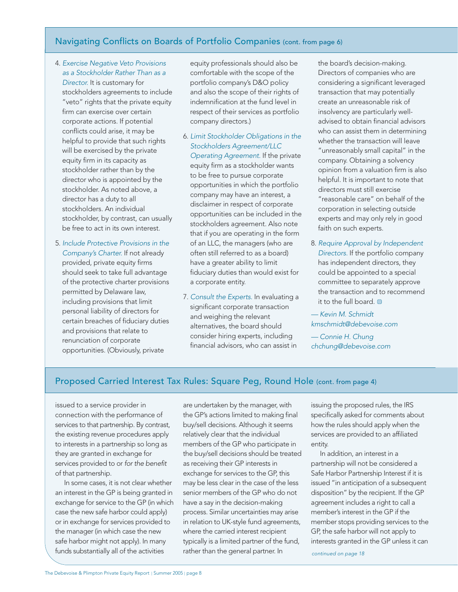# Navigating Conflicts on Boards of Portfolio Companies (cont. from page 6)

- 4. Exercise Negative Veto Provisions as a Stockholder Rather Than as a Director. It is customary for stockholders agreements to include "veto" rights that the private equity firm can exercise over certain corporate actions. If potential conflicts could arise, it may be helpful to provide that such rights will be exercised by the private equity firm in its capacity as stockholder rather than by the director who is appointed by the stockholder. As noted above, a director has a duty to all stockholders. An individual stockholder, by contrast, can usually be free to act in its own interest.
- 5. Include Protective Provisions in the Company's Charter. If not already provided, private equity firms should seek to take full advantage of the protective charter provisions permitted by Delaware law, including provisions that limit personal liability of directors for certain breaches of fiduciary duties and provisions that relate to renunciation of corporate opportunities. (Obviously, private

equity professionals should also be comfortable with the scope of the portfolio company's D&O policy and also the scope of their rights of indemnification at the fund level in respect of their services as portfolio company directors.)

- 6. Limit Stockholder Obligations in the Stockholders Agreement/LLC Operating Agreement. If the private equity firm as a stockholder wants to be free to pursue corporate opportunities in which the portfolio company may have an interest, a disclaimer in respect of corporate opportunities can be included in the stockholders agreement. Also note that if you are operating in the form of an LLC, the managers (who are often still referred to as a board) have a greater ability to limit fiduciary duties than would exist for a corporate entity.
- 7. Consult the Experts. In evaluating a significant corporate transaction and weighing the relevant alternatives, the board should consider hiring experts, including financial advisors, who can assist in

the board's decision-making. Directors of companies who are considering a significant leveraged transaction that may potentially create an unreasonable risk of insolvency are particularly welladvised to obtain financial advisors who can assist them in determining whether the transaction will leave "unreasonably small capital" in the company. Obtaining a solvency opinion from a valuation firm is also helpful. It is important to note that directors must still exercise "reasonable care" on behalf of the corporation in selecting outside experts and may only rely in good faith on such experts.

8. Require Approval by Independent Directors. If the portfolio company has independent directors, they could be appointed to a special committee to separately approve the transaction and to recommend it to the full board.

— Kevin M. Schmidt kmschmidt@debevoise.com

— Connie H. Chung chchung@debevoise.com

## Proposed Carried Interest Tax Rules: Square Peg, Round Hole (cont. from page 4)

issued to a service provider in connection with the performance of services to that partnership. By contrast, the existing revenue procedures apply to interests in a partnership so long as they are granted in exchange for services provided to or for the benefit of that partnership.

In some cases, it is not clear whether an interest in the GP is being granted in exchange for service to the GP (in which case the new safe harbor could apply) or in exchange for services provided to the manager (in which case the new safe harbor might not apply). In many funds substantially all of the activities

are undertaken by the manager, with the GP's actions limited to making final buy/sell decisions. Although it seems relatively clear that the individual members of the GP who participate in the buy/sell decisions should be treated as receiving their GP interests in exchange for services to the GP, this may be less clear in the case of the less senior members of the GP who do not have a say in the decision-making process. Similar uncertainties may arise in relation to UK-style fund agreements, where the carried interest recipient typically is a limited partner of the fund, rather than the general partner. In

issuing the proposed rules, the IRS specifically asked for comments about how the rules should apply when the services are provided to an affiliated entity.

In addition, an interest in a partnership will not be considered a Safe Harbor Partnership Interest if it is issued "in anticipation of a subsequent disposition" by the recipient. If the GP agreement includes a right to call a member's interest in the GP if the member stops providing services to the GP, the safe harbor will not apply to interests granted in the GP unless it can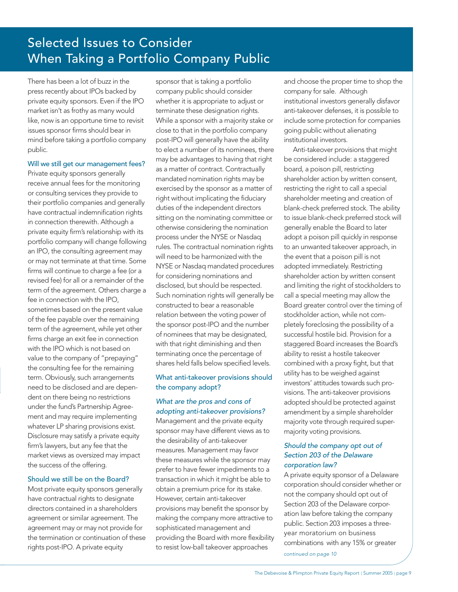# Selected Issues to Consider When Taking a Portfolio Company Public

There has been a lot of buzz in the press recently about IPOs backed by private equity sponsors. Even if the IPO market isn't as frothy as many would like, now is an opportune time to revisit issues sponsor firms should bear in mind before taking a portfolio company public.

#### Will we still get our management fees?

Private equity sponsors generally receive annual fees for the monitoring or consulting services they provide to their portfolio companies and generally have contractual indemnification rights in connection therewith. Although a private equity firm's relationship with its portfolio company will change following an IPO, the consulting agreement may or may not terminate at that time. Some firms will continue to charge a fee (or a revised fee) for all or a remainder of the term of the agreement. Others charge a fee in connection with the IPO, sometimes based on the present value of the fee payable over the remaining term of the agreement, while yet other firms charge an exit fee in connection with the IPO which is not based on value to the company of "prepaying" the consulting fee for the remaining term. Obviously, such arrangements need to be disclosed and are dependent on there being no restrictions under the fund's Partnership Agreement and may require implementing whatever LP sharing provisions exist. Disclosure may satisfy a private equity firm's lawyers, but any fee that the market views as oversized may impact the success of the offering.

#### Should we still be on the Board?

Most private equity sponsors generally have contractual rights to designate directors contained in a shareholders agreement or similar agreement. The agreement may or may not provide for the termination or continuation of these rights post-IPO. A private equity

sponsor that is taking a portfolio company public should consider whether it is appropriate to adjust or terminate these designation rights. While a sponsor with a majority stake or close to that in the portfolio company post-IPO will generally have the ability to elect a number of its nominees, there may be advantages to having that right as a matter of contract. Contractually mandated nomination rights may be exercised by the sponsor as a matter of right without implicating the fiduciary duties of the independent directors sitting on the nominating committee or otherwise considering the nomination process under the NYSE or Nasdaq rules. The contractual nomination rights will need to be harmonized with the NYSE or Nasdaq mandated procedures for considering nominations and disclosed, but should be respected. Such nomination rights will generally be constructed to bear a reasonable relation between the voting power of the sponsor post-IPO and the number of nominees that may be designated, with that right diminishing and then terminating once the percentage of shares held falls below specified levels.

#### What anti-takeover provisions should the company adopt?

## What are the pros and cons of adopting anti-takeover provisions?

Management and the private equity sponsor may have different views as to the desirability of anti-takeover measures. Management may favor these measures while the sponsor may prefer to have fewer impediments to a transaction in which it might be able to obtain a premium price for its stake. However, certain anti-takeover provisions may benefit the sponsor by making the company more attractive to sophisticated management and providing the Board with more flexibility to resist low-ball takeover approaches

and choose the proper time to shop the company for sale. Although institutional investors generally disfavor anti-takeover defenses, it is possible to include some protection for companies going public without alienating institutional investors.

Anti-takeover provisions that might be considered include: a staggered board, a poison pill, restricting shareholder action by written consent, restricting the right to call a special shareholder meeting and creation of blank-check preferred stock. The ability to issue blank-check preferred stock will generally enable the Board to later adopt a poison pill quickly in response to an unwanted takeover approach, in the event that a poison pill is not adopted immediately. Restricting shareholder action by written consent and limiting the right of stockholders to call a special meeting may allow the Board greater control over the timing of stockholder action, while not completely foreclosing the possibility of a successful hostile bid. Provision for a staggered Board increases the Board's ability to resist a hostile takeover combined with a proxy fight, but that utility has to be weighed against investors' attitudes towards such provisions. The anti-takeover provisions adopted should be protected against amendment by a simple shareholder majority vote through required supermajority voting provisions.

#### Should the company opt out of Section 203 of the Delaware corporation law?

A private equity sponsor of a Delaware corporation should consider whether or not the company should opt out of Section 203 of the Delaware corporation law before taking the company public. Section 203 imposes a threeyear moratorium on business combinations with any 15% or greater continued on page 10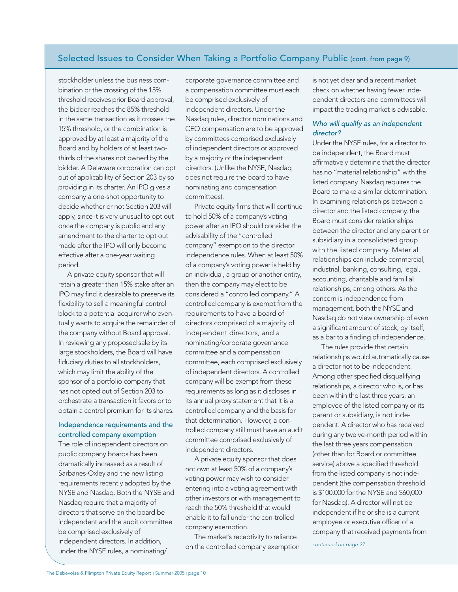## Selected Issues to Consider When Taking a Portfolio Company Public (cont. from page 9)

stockholder unless the business combination or the crossing of the 15% threshold receives prior Board approval, the bidder reaches the 85% threshold in the same transaction as it crosses the 15% threshold, or the combination is approved by at least a majority of the Board and by holders of at least twothirds of the shares not owned by the bidder. A Delaware corporation can opt out of applicability of Section 203 by so providing in its charter. An IPO gives a company a one-shot opportunity to decide whether or not Section 203 will apply, since it is very unusual to opt out once the company is public and any amendment to the charter to opt out made after the IPO will only become effective after a one-year waiting period.

A private equity sponsor that will retain a greater than 15% stake after an IPO may find it desirable to preserve its flexibility to sell a meaningful control block to a potential acquirer who eventually wants to acquire the remainder of the company without Board approval. In reviewing any proposed sale by its large stockholders, the Board will have fiduciary duties to all stockholders, which may limit the ability of the sponsor of a portfolio company that has not opted out of Section 203 to orchestrate a transaction it favors or to obtain a control premium for its shares.

### Independence requirements and the controlled company exemption

The role of independent directors on public company boards has been dramatically increased as a result of Sarbanes-Oxley and the new listing requirements recently adopted by the NYSE and Nasdaq. Both the NYSE and Nasdaq require that a majority of directors that serve on the board be independent and the audit committee be comprised exclusively of independent directors. In addition, under the NYSE rules, a nominating/

corporate governance committee and a compensation committee must each be comprised exclusively of independent directors. Under the Nasdaq rules, director nominations and CEO compensation are to be approved by committees comprised exclusively of independent directors or approved by a majority of the independent directors. (Unlike the NYSE, Nasdaq does not require the board to have nominating and compensation committees).

Private equity firms that will continue to hold 50% of a company's voting power after an IPO should consider the advisability of the "controlled company" exemption to the director independence rules. When at least 50% of a company's voting power is held by an individual, a group or another entity, then the company may elect to be considered a "controlled company." A controlled company is exempt from the requirements to have a board of directors comprised of a majority of independent directors, and a nominating/corporate governance committee and a compensation committee, each comprised exclusively of independent directors. A controlled company will be exempt from these requirements as long as it discloses in its annual proxy statement that it is a controlled company and the basis for that determination. However, a controlled company still must have an audit committee comprised exclusively of independent directors.

A private equity sponsor that does not own at least 50% of a company's voting power may wish to consider entering into a voting agreement with other investors or with management to reach the 50% threshold that would enable it to fall under the con-trolled company exemption.

The market's receptivity to reliance on the controlled company exemption is not yet clear and a recent market check on whether having fewer independent directors and committees will impact the trading market is advisable.

#### Who will qualify as an independent director?

Under the NYSE rules, for a director to be independent, the Board must affirmatively determine that the director has no "material relationship" with the listed company. Nasdaq requires the Board to make a similar determination. In examining relationships between a director and the listed company, the Board must consider relationships between the director and any parent or subsidiary in a consolidated group with the listed company. Material relationships can include commercial, industrial, banking, consulting, legal, accounting, charitable and familial relationships, among others. As the concern is independence from management, both the NYSE and Nasdaq do not view ownership of even a significant amount of stock, by itself, as a bar to a finding of independence.

The rules provide that certain relationships would automatically cause a director not to be independent. Among other specified disqualifying relationships, a director who is, or has been within the last three years, an employee of the listed company or its parent or subsidiary, is not independent. A director who has received during any twelve-month period within the last three years compensation (other than for Board or committee service) above a specified threshold from the listed company is not independent (the compensation threshold is \$100,000 for the NYSE and \$60,000 for Nasdaq). A director will not be independent if he or she is a current employee or executive officer of a company that received payments from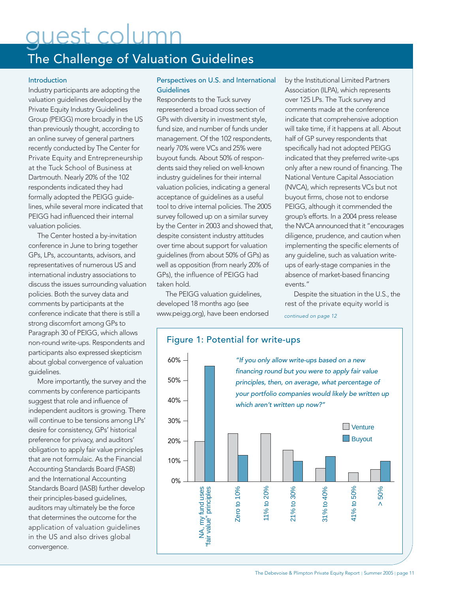# quest colu

# The Challenge of Valuation Guidelines

#### Introduction

Industry participants are adopting the valuation guidelines developed by the Private Equity Industry Guidelines Group (PEIGG) more broadly in the US than previously thought, according to an online survey of general partners recently conducted by The Center for Private Equity and Entrepreneurship at the Tuck School of Business at Dartmouth. Nearly 20% of the 102 respondents indicated they had formally adopted the PEIGG guidelines, while several more indicated that PEIGG had influenced their internal valuation policies.

The Center hosted a by-invitation conference in June to bring together GPs, LPs, accountants, advisors, and representatives of numerous US and international industry associations to discuss the issues surrounding valuation policies. Both the survey data and comments by participants at the conference indicate that there is still a strong discomfort among GPs to Paragraph 30 of PEIGG, which allows non-round write-ups. Respondents and participants also expressed skepticism about global convergence of valuation guidelines.

More importantly, the survey and the comments by conference participants suggest that role and influence of independent auditors is growing. There will continue to be tensions among LPs' desire for consistency, GPs' historical preference for privacy, and auditors' obligation to apply fair value principles that are not formulaic. As the Financial Accounting Standards Board (FASB) and the International Accounting Standards Board (IASB) further develop their principles-based guidelines, auditors may ultimately be the force that determines the outcome for the application of valuation guidelines in the US and also drives global convergence.

#### Perspectives on U.S. and International **Guidelines**

Respondents to the Tuck survey represented a broad cross section of GPs with diversity in investment style, fund size, and number of funds under management. Of the 102 respondents, nearly 70% were VCs and 25% were buyout funds. About 50% of respondents said they relied on well-known industry guidelines for their internal valuation policies, indicating a general acceptance of guidelines as a useful tool to drive internal policies. The 2005 survey followed up on a similar survey by the Center in 2003 and showed that, despite consistent industry attitudes over time about support for valuation guidelines (from about 50% of GPs) as well as opposition (from nearly 20% of GPs), the influence of PEIGG had taken hold.

The PEIGG valuation guidelines, developed 18 months ago (see www.peigg.org), have been endorsed

by the Institutional Limited Partners Association (ILPA), which represents over 125 LPs. The Tuck survey and comments made at the conference indicate that comprehensive adoption will take time, if it happens at all. About half of GP survey respondents that specifically had not adopted PEIGG indicated that they preferred write-ups only after a new round of financing. The National Venture Capital Association (NVCA), which represents VCs but not buyout firms, chose not to endorse PEIGG, although it commended the group's efforts. In a 2004 press release the NVCA announced that it "encourages diligence, prudence, and caution when implementing the specific elements of any guideline, such as valuation writeups of early-stage companies in the absence of market-based financing events."

Despite the situation in the U.S., the rest of the private equity world is

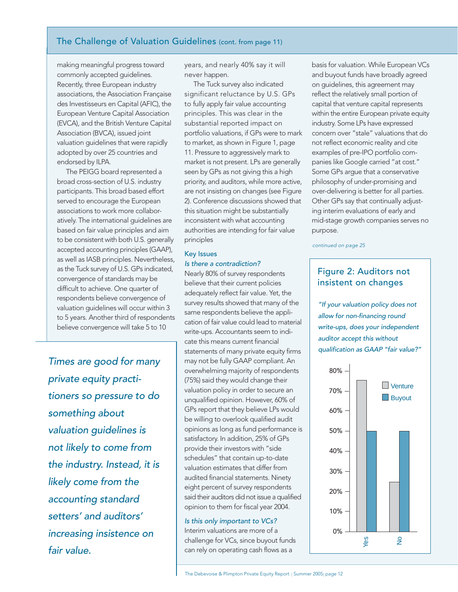## The Challenge of Valuation Guidelines (cont. from page 11)

making meaningful progress toward commonly accepted guidelines. Recently, three European industry associations, the Association Française des Investisseurs en Capital (AFIC), the European Venture Capital Association (EVCA), and the British Venture Capital Association (BVCA), issued joint valuation guidelines that were rapidly adopted by over 25 countries and endorsed by ILPA.

The PEIGG board represented a broad cross-section of U.S. industry participants. This broad based effort served to encourage the European associations to work more collaboratively. The international guidelines are based on fair value principles and aim to be consistent with both U.S. generally accepted accounting principles (GAAP), as well as IASB principles. Nevertheless, as the Tuck survey of U.S. GPs indicated, convergence of standards may be difficult to achieve. One quarter of respondents believe convergence of valuation guidelines will occur within 3 to 5 years. Another third of respondents believe convergence will take 5 to 10

Times are good for many private equity practitioners so pressure to do something about valuation guidelines is not likely to come from the industry. Instead, it is likely come from the accounting standard setters' and auditors' increasing insistence on fair value.

years, and nearly 40% say it will never happen.

The Tuck survey also indicated significant reluctance by U.S. GPs to fully apply fair value accounting principles. This was clear in the substantial reported impact on portfolio valuations, if GPs were to mark to market, as shown in Figure 1, page 11. Pressure to aggressively mark to market is not present. LPs are generally seen by GPs as not giving this a high priority, and auditors, while more active, are not insisting on changes (see Figure 2). Conference discussions showed that this situation might be substantially inconsistent with what accounting authorities are intending for fair value principles

#### Key Issues Is there a contradiction?

Nearly 80% of survey respondents believe that their current policies adequately reflect fair value. Yet, the survey results showed that many of the same respondents believe the application of fair value could lead to material write-ups. Accountants seem to indicate this means current financial statements of many private equity firms may not be fully GAAP compliant. An overwhelming majority of respondents (75%) said they would change their valuation policy in order to secure an unqualified opinion. However, 60% of GPs report that they believe LPs would be willing to overlook qualified audit opinions as long as fund performance is satisfactory. In addition, 25% of GPs provide their investors with "side schedules" that contain up-to-date valuation estimates that differ from audited financial statements. Ninety eight percent of survey respondents said their auditors did not issue a qualified opinion to them for fiscal year 2004.

#### Is this only important to VCs?

Interim valuations are more of a challenge for VCs, since buyout funds can rely on operating cash flows as a

basis for valuation. While European VCs and buyout funds have broadly agreed on guidelines, this agreement may reflect the relatively small portion of capital that venture capital represents within the entire European private equity industry. Some LPs have expressed concern over "stale" valuations that do not reflect economic reality and cite examples of pre-IPO portfolio companies like Google carried "at cost." Some GPs argue that a conservative philosophy of under-promising and over-delivering is better for all parties. Other GPs say that continually adjusting interim evaluations of early and mid-stage growth companies serves no purpose.

continued on page 25

# Figure 2: Auditors not insistent on changes

"If your valuation policy does not allow for non-financing round write-ups, does your independent auditor accept this without qualification as GAAP "fair value?"

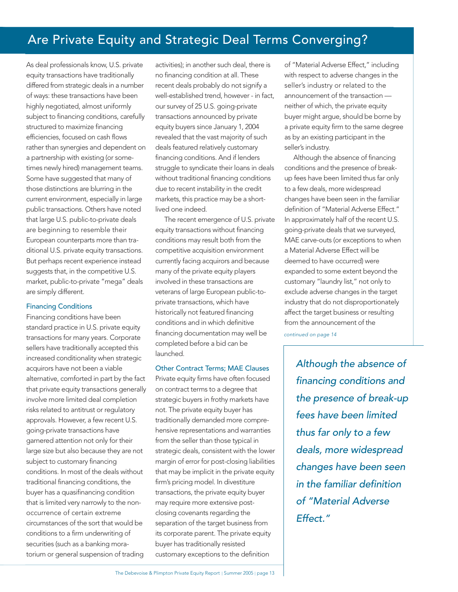# Are Private Equity and Strategic Deal Terms Converging?

As deal professionals know, U.S. private equity transactions have traditionally differed from strategic deals in a number of ways: these transactions have been highly negotiated, almost uniformly subject to financing conditions, carefully structured to maximize financing efficiencies, focused on cash flows rather than synergies and dependent on a partnership with existing (or sometimes newly hired) management teams. Some have suggested that many of those distinctions are blurring in the current environment, especially in large public transactions. Others have noted that large U.S. public-to-private deals are beginning to resemble their European counterparts more than traditional U.S. private equity transactions. But perhaps recent experience instead suggests that, in the competitive U.S. market, public-to-private "mega" deals are simply different.

#### Financing Conditions

Financing conditions have been standard practice in U.S. private equity transactions for many years. Corporate sellers have traditionally accepted this increased conditionality when strategic acquirors have not been a viable alternative, comforted in part by the fact that private equity transactions generally involve more limited deal completion risks related to antitrust or regulatory approvals. However, a few recent U.S. going-private transactions have garnered attention not only for their large size but also because they are not subject to customary financing conditions. In most of the deals without traditional financing conditions, the buyer has a quasifinancing condition that is limited very narrowly to the nonoccurrence of certain extreme circumstances of the sort that would be conditions to a firm underwriting of securities (such as a banking moratorium or general suspension of trading

activities); in another such deal, there is no financing condition at all. These recent deals probably do not signify a well-established trend, however - in fact, our survey of 25 U.S. going-private transactions announced by private equity buyers since January 1, 2004 revealed that the vast majority of such deals featured relatively customary financing conditions. And if lenders struggle to syndicate their loans in deals without traditional financing conditions due to recent instability in the credit markets, this practice may be a shortlived one indeed.

The recent emergence of U.S. private equity transactions without financing conditions may result both from the competitive acquisition environment currently facing acquirors and because many of the private equity players involved in these transactions are veterans of large European public-toprivate transactions, which have historically not featured financing conditions and in which definitive financing documentation may well be completed before a bid can be launched.

#### Other Contract Terms; MAE Clauses

Private equity firms have often focused on contract terms to a degree that strategic buyers in frothy markets have not. The private equity buyer has traditionally demanded more comprehensive representations and warranties from the seller than those typical in strategic deals, consistent with the lower margin of error for post-closing liabilities that may be implicit in the private equity firm's pricing model. In divestiture transactions, the private equity buyer may require more extensive postclosing covenants regarding the separation of the target business from its corporate parent. The private equity buyer has traditionally resisted customary exceptions to the definition

of "Material Adverse Effect," including with respect to adverse changes in the seller's industry or related to the announcement of the transaction neither of which, the private equity buyer might argue, should be borne by a private equity firm to the same degree as by an existing participant in the seller's industry.

Although the absence of financing conditions and the presence of breakup fees have been limited thus far only to a few deals, more widespread changes have been seen in the familiar definition of "Material Adverse Effect." In approximately half of the recent U.S. going-private deals that we surveyed, MAE carve-outs (or exceptions to when a Material Adverse Effect will be deemed to have occurred) were expanded to some extent beyond the customary "laundry list," not only to exclude adverse changes in the target industry that do not disproportionately affect the target business or resulting from the announcement of the

continued on page 14

Although the absence of financing conditions and the presence of break-up fees have been limited thus far only to a few deals, more widespread changes have been seen in the familiar definition of "Material Adverse Effect."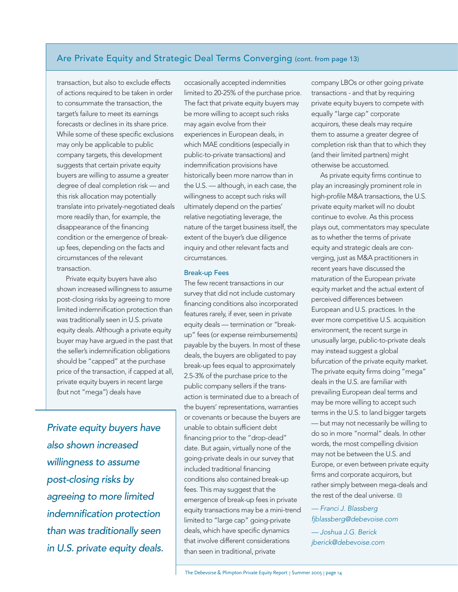## Are Private Equity and Strategic Deal Terms Converging (cont. from page 13)

transaction, but also to exclude effects of actions required to be taken in order to consummate the transaction, the target's failure to meet its earnings forecasts or declines in its share price. While some of these specific exclusions may only be applicable to public company targets, this development suggests that certain private equity buyers are willing to assume a greater degree of deal completion risk — and this risk allocation may potentially translate into privately-negotiated deals more readily than, for example, the disappearance of the financing condition or the emergence of breakup fees, depending on the facts and circumstances of the relevant transaction.

Private equity buyers have also shown increased willingness to assume post-closing risks by agreeing to more limited indemnification protection than was traditionally seen in U.S. private equity deals. Although a private equity buyer may have argued in the past that the seller's indemnification obligations should be "capped" at the purchase price of the transaction, if capped at all, private equity buyers in recent large (but not "mega") deals have

Private equity buyers have also shown increased willingness to assume post-closing risks by agreeing to more limited indemnification protection than was traditionally seen in U.S. private equity deals.

occasionally accepted indemnities limited to 20-25% of the purchase price. The fact that private equity buyers may be more willing to accept such risks may again evolve from their experiences in European deals, in which MAE conditions (especially in public-to-private transactions) and indemnification provisions have historically been more narrow than in the U.S. — although, in each case, the willingness to accept such risks will ultimately depend on the parties' relative negotiating leverage, the nature of the target business itself, the extent of the buyer's due diligence inquiry and other relevant facts and circumstances.

#### Break-up Fees

The few recent transactions in our survey that did not include customary financing conditions also incorporated features rarely, if ever, seen in private equity deals — termination or "breakup" fees (or expense reimbursements) payable by the buyers. In most of these deals, the buyers are obligated to pay break-up fees equal to approximately 2.5-3% of the purchase price to the public company sellers if the transaction is terminated due to a breach of the buyers' representations, warranties or covenants or because the buyers are unable to obtain sufficient debt financing prior to the "drop-dead" date. But again, virtually none of the going-private deals in our survey that included traditional financing conditions also contained break-up fees. This may suggest that the emergence of break-up fees in private equity transactions may be a mini-trend limited to "large cap" going-private deals, which have specific dynamics that involve different considerations than seen in traditional, private

company LBOs or other going private transactions - and that by requiring private equity buyers to compete with equally "large cap" corporate acquirors, these deals may require them to assume a greater degree of completion risk than that to which they (and their limited partners) might otherwise be accustomed.

As private equity firms continue to play an increasingly prominent role in high-profile M&A transactions, the U.S. private equity market will no doubt continue to evolve. As this process plays out, commentators may speculate as to whether the terms of private equity and strategic deals are converging, just as M&A practitioners in recent years have discussed the maturation of the European private equity market and the actual extent of perceived differences between European and U.S. practices. In the ever more competitive U.S. acquisition environment, the recent surge in unusually large, public-to-private deals may instead suggest a global bifurcation of the private equity market. The private equity firms doing "mega" deals in the U.S. are familiar with prevailing European deal terms and may be more willing to accept such terms in the U.S. to land bigger targets — but may not necessarily be willing to do so in more "normal" deals. In other words, the most compelling division may not be between the U.S. and Europe, or even between private equity firms and corporate acquirors, but rather simply between mega-deals and the rest of the deal universe.  $\bullet$ 

### — Franci J. Blassberg fjblassberg@debevoise.com

— Joshua J.G. Berick jberick@debevoise.com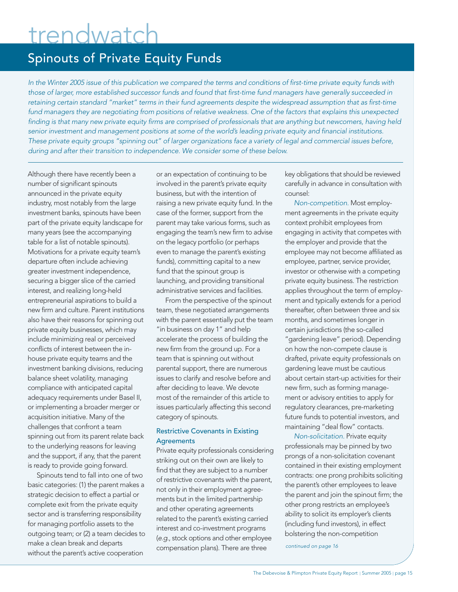# trendwatch

# Spinouts of Private Equity Funds

In the Winter 2005 issue of this publication we compared the terms and conditions of first-time private equity funds with those of larger, more established successor funds and found that first-time fund managers have generally succeeded in retaining certain standard "market" terms in their fund agreements despite the widespread assumption that as first-time fund managers they are negotiating from positions of relative weakness. One of the factors that explains this unexpected finding is that many new private equity firms are comprised of professionals that are anything but newcomers, having held senior investment and management positions at some of the world's leading private equity and financial institutions. These private equity groups "spinning out" of larger organizations face a variety of legal and commercial issues before, during and after their transition to independence. We consider some of these below.

Although there have recently been a number of significant spinouts announced in the private equity industry, most notably from the large investment banks, spinouts have been part of the private equity landscape for many years (see the accompanying table for a list of notable spinouts). Motivations for a private equity team's departure often include achieving greater investment independence, securing a bigger slice of the carried interest, and realizing long-held entrepreneurial aspirations to build a new firm and culture. Parent institutions also have their reasons for spinning out private equity businesses, which may include minimizing real or perceived conflicts of interest between the inhouse private equity teams and the investment banking divisions, reducing balance sheet volatility, managing compliance with anticipated capital adequacy requirements under Basel II, or implementing a broader merger or acquisition initiative. Many of the challenges that confront a team spinning out from its parent relate back to the underlying reasons for leaving and the support, if any, that the parent is ready to provide going forward.

Spinouts tend to fall into one of two basic categories: (1) the parent makes a strategic decision to effect a partial or complete exit from the private equity sector and is transferring responsibility for managing portfolio assets to the outgoing team; or (2) a team decides to make a clean break and departs without the parent's active cooperation

or an expectation of continuing to be involved in the parent's private equity business, but with the intention of raising a new private equity fund. In the case of the former, support from the parent may take various forms, such as engaging the team's new firm to advise on the legacy portfolio (or perhaps even to manage the parent's existing funds), committing capital to a new fund that the spinout group is launching, and providing transitional administrative services and facilities.

From the perspective of the spinout team, these negotiated arrangements with the parent essentially put the team "in business on day 1" and help accelerate the process of building the new firm from the ground up. For a team that is spinning out without parental support, there are numerous issues to clarify and resolve before and after deciding to leave. We devote most of the remainder of this article to issues particularly affecting this second category of spinouts.

#### Restrictive Covenants in Existing **Agreements**

Private equity professionals considering striking out on their own are likely to find that they are subject to a number of restrictive covenants with the parent, not only in their employment agreements but in the limited partnership and other operating agreements related to the parent's existing carried interest and co-investment programs (e.g., stock options and other employee compensation plans). There are three

key obligations that should be reviewed carefully in advance in consultation with counsel:

Non-competition. Most employment agreements in the private equity context prohibit employees from engaging in activity that competes with the employer and provide that the employee may not become affiliated as employee, partner, service provider, investor or otherwise with a competing private equity business. The restriction applies throughout the term of employment and typically extends for a period thereafter, often between three and six months, and sometimes longer in certain jurisdictions (the so-called "gardening leave" period). Depending on how the non-compete clause is drafted, private equity professionals on gardening leave must be cautious about certain start-up activities for their new firm, such as forming management or advisory entities to apply for regulatory clearances, pre-marketing future funds to potential investors, and maintaining "deal flow" contacts.

Non-solicitation. Private equity professionals may be pinned by two prongs of a non-solicitation covenant contained in their existing employment contracts: one prong prohibits soliciting the parent's other employees to leave the parent and join the spinout firm; the other prong restricts an employee's ability to solicit its employer's clients (including fund investors), in effect bolstering the non-competition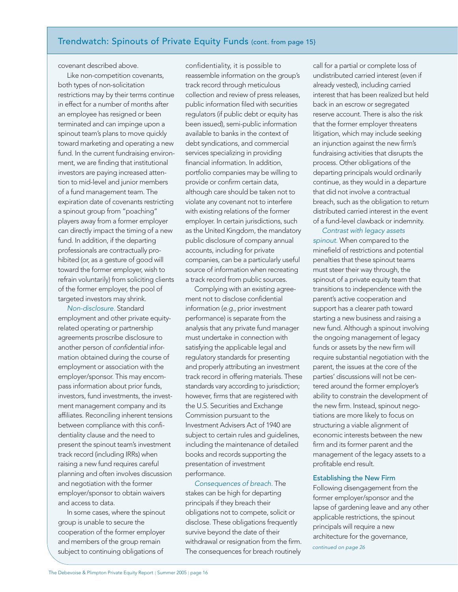# Trendwatch: Spinouts of Private Equity Funds (cont. from page 15}

covenant described above.

Like non-competition covenants, both types of non-solicitation restrictions may by their terms continue in effect for a number of months after an employee has resigned or been terminated and can impinge upon a spinout team's plans to move quickly toward marketing and operating a new fund. In the current fundraising environment, we are finding that institutional investors are paying increased attention to mid-level and junior members of a fund management team. The expiration date of covenants restricting a spinout group from "poaching" players away from a former employer can directly impact the timing of a new fund. In addition, if the departing professionals are contractually prohibited (or, as a gesture of good will toward the former employer, wish to refrain voluntarily) from soliciting clients of the former employer, the pool of targeted investors may shrink.

Non-disclosure. Standard employment and other private equityrelated operating or partnership agreements proscribe disclosure to another person of confidential information obtained during the course of employment or association with the employer/sponsor. This may encompass information about prior funds, investors, fund investments, the investment management company and its affiliates. Reconciling inherent tensions between compliance with this confidentiality clause and the need to present the spinout team's investment track record (including IRRs) when raising a new fund requires careful planning and often involves discussion and negotiation with the former employer/sponsor to obtain waivers and access to data.

In some cases, where the spinout group is unable to secure the cooperation of the former employer and members of the group remain subject to continuing obligations of

confidentiality, it is possible to reassemble information on the group's track record through meticulous collection and review of press releases, public information filed with securities regulators (if public debt or equity has been issued), semi-public information available to banks in the context of debt syndications, and commercial services specializing in providing financial information. In addition, portfolio companies may be willing to provide or confirm certain data, although care should be taken not to violate any covenant not to interfere with existing relations of the former employer. In certain jurisdictions, such as the United Kingdom, the mandatory public disclosure of company annual accounts, including for private companies, can be a particularly useful source of information when recreating a track record from public sources.

Complying with an existing agreement not to disclose confidential information (e.g., prior investment performance) is separate from the analysis that any private fund manager must undertake in connection with satisfying the applicable legal and regulatory standards for presenting and properly attributing an investment track record in offering materials. These standards vary according to jurisdiction; however, firms that are registered with the U.S. Securities and Exchange Commission pursuant to the Investment Advisers Act of 1940 are subject to certain rules and guidelines, including the maintenance of detailed books and records supporting the presentation of investment performance.

Consequences of breach. The stakes can be high for departing principals if they breach their obligations not to compete, solicit or disclose. These obligations frequently survive beyond the date of their withdrawal or resignation from the firm. The consequences for breach routinely

call for a partial or complete loss of undistributed carried interest (even if already vested), including carried interest that has been realized but held back in an escrow or segregated reserve account. There is also the risk that the former employer threatens litigation, which may include seeking an injunction against the new firm's fundraising activities that disrupts the process. Other obligations of the departing principals would ordinarily continue, as they would in a departure that did not involve a contractual breach, such as the obligation to return distributed carried interest in the event of a fund-level clawback or indemnity.

Contrast with legacy assets spinout. When compared to the minefield of restrictions and potential penalties that these spinout teams must steer their way through, the spinout of a private equity team that transitions to independence with the parent's active cooperation and support has a clearer path toward starting a new business and raising a new fund. Although a spinout involving the ongoing management of legacy funds or assets by the new firm will require substantial negotiation with the parent, the issues at the core of the parties' discussions will not be centered around the former employer's ability to constrain the development of the new firm. Instead, spinout negotiations are more likely to focus on structuring a viable alignment of economic interests between the new firm and its former parent and the management of the legacy assets to a profitable end result.

#### Establishing the New Firm

Following disengagement from the former employer/sponsor and the lapse of gardening leave and any other applicable restrictions, the spinout principals will require a new architecture for the governance, continued on page 26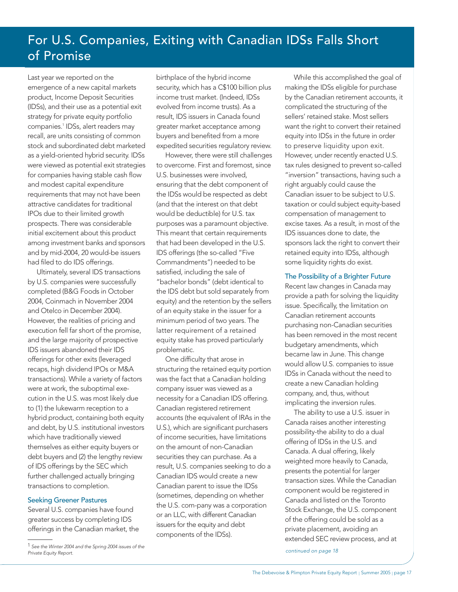# For U.S. Companies, Exiting with Canadian IDSs Falls Short of Promise

Last year we reported on the emergence of a new capital markets product, Income Deposit Securities (IDSs), and their use as a potential exit strategy for private equity portfolio companies.<sup>1</sup> IDSs, alert readers may recall, are units consisting of common stock and subordinated debt marketed as a yield-oriented hybrid security. IDSs were viewed as potential exit strategies for companies having stable cash flow and modest capital expenditure requirements that may not have been attractive candidates for traditional IPOs due to their limited growth prospects. There was considerable initial excitement about this product among investment banks and sponsors and by mid-2004, 20 would-be issuers had filed to do IDS offerings.

Ultimately, several IDS transactions by U.S. companies were successfully completed (B&G Foods in October 2004, Coinmach in November 2004 and Otelco in December 2004). However, the realities of pricing and execution fell far short of the promise, and the large majority of prospective IDS issuers abandoned their IDS offerings for other exits (leveraged recaps, high dividend IPOs or M&A transactions). While a variety of factors were at work, the suboptimal execution in the U.S. was most likely due to (1) the lukewarm reception to a hybrid product, containing both equity and debt, by U.S. institutional investors which have traditionally viewed themselves as either equity buyers or debt buyers and (2) the lengthy review of IDS offerings by the SEC which further challenged actually bringing transactions to completion.

#### Seeking Greener Pastures

Several U.S. companies have found greater success by completing IDS offerings in the Canadian market, the

birthplace of the hybrid income security, which has a C\$100 billion plus income trust market. (Indeed, IDSs evolved from income trusts). As a result, IDS issuers in Canada found greater market acceptance among buyers and benefited from a more expedited securities regulatory review.

However, there were still challenges to overcome. First and foremost, since U.S. businesses were involved, ensuring that the debt component of the IDSs would be respected as debt (and that the interest on that debt would be deductible) for U.S. tax purposes was a paramount objective. This meant that certain requirements that had been developed in the U.S. IDS offerings (the so-called "Five Commandments") needed to be satisfied, including the sale of "bachelor bonds" (debt identical to the IDS debt but sold separately from equity) and the retention by the sellers of an equity stake in the issuer for a minimum period of two years. The latter requirement of a retained equity stake has proved particularly problematic.

One difficulty that arose in structuring the retained equity portion was the fact that a Canadian holding company issuer was viewed as a necessity for a Canadian IDS offering. Canadian registered retirement accounts (the equivalent of IRAs in the U.S.), which are significant purchasers of income securities, have limitations on the amount of non-Canadian securities they can purchase. As a result, U.S. companies seeking to do a Canadian IDS would create a new Canadian parent to issue the IDSs (sometimes, depending on whether the U.S. com-pany was a corporation or an LLC, with different Canadian issuers for the equity and debt components of the IDSs).

While this accomplished the goal of making the IDSs eligible for purchase by the Canadian retirement accounts, it complicated the structuring of the sellers' retained stake. Most sellers want the right to convert their retained equity into IDSs in the future in order to preserve liquidity upon exit. However, under recently enacted U.S. tax rules designed to prevent so-called "inversion" transactions, having such a right arguably could cause the Canadian issuer to be subject to U.S. taxation or could subject equity-based compensation of management to excise taxes. As a result, in most of the IDS issuances done to date, the sponsors lack the right to convert their retained equity into IDSs, although some liquidity rights do exist.

#### The Possibility of a Brighter Future

Recent law changes in Canada may provide a path for solving the liquidity issue. Specifically, the limitation on Canadian retirement accounts purchasing non-Canadian securities has been removed in the most recent budgetary amendments, which became law in June. This change would allow U.S. companies to issue IDSs in Canada without the need to create a new Canadian holding company, and, thus, without implicating the inversion rules.

The ability to use a U.S. issuer in Canada raises another interesting possibility-the ability to do a dual offering of IDSs in the U.S. and Canada. A dual offering, likely weighted more heavily to Canada, presents the potential for larger transaction sizes. While the Canadian component would be registered in Canada and listed on the Toronto Stock Exchange, the U.S. component of the offering could be sold as a private placement, avoiding an extended SEC review process, and at

<sup>1</sup> See the Winter 2004 and the Spring 2004 issues of the even in the range of the spring 2004 issues of the continued on page 18 continued on page 18 continued on page<br>Private Equity Report.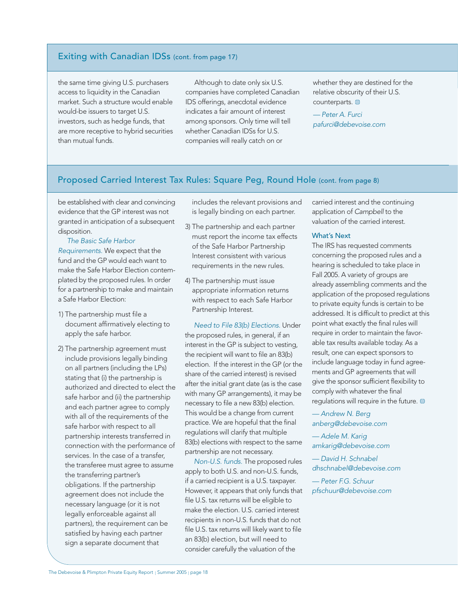## Exiting with Canadian IDSs (cont. from page 17)

the same time giving U.S. purchasers access to liquidity in the Canadian market. Such a structure would enable would-be issuers to target U.S. investors, such as hedge funds, that are more receptive to hybrid securities than mutual funds.

Although to date only six U.S. companies have completed Canadian IDS offerings, anecdotal evidence indicates a fair amount of interest among sponsors. Only time will tell whether Canadian IDSs for U.S. companies will really catch on or

whether they are destined for the relative obscurity of their U.S. counterparts.  $\Box$ 

— Peter A. Furci pafurci@debevoise.com

## Proposed Carried Interest Tax Rules: Square Peg, Round Hole (cont. from page 8)

be established with clear and convincing evidence that the GP interest was not granted in anticipation of a subsequent disposition.

The Basic Safe Harbor Requirements. We expect that the fund and the GP would each want to make the Safe Harbor Election contemplated by the proposed rules. In order for a partnership to make and maintain a Safe Harbor Election:

- 1) The partnership must file a document affirmatively electing to apply the safe harbor.
- 2) The partnership agreement must include provisions legally binding on all partners (including the LPs) stating that (i) the partnership is authorized and directed to elect the safe harbor and (ii) the partnership and each partner agree to comply with all of the requirements of the safe harbor with respect to all partnership interests transferred in connection with the performance of services. In the case of a transfer, the transferee must agree to assume the transferring partner's obligations. If the partnership agreement does not include the necessary language (or it is not legally enforceable against all partners), the requirement can be satisfied by having each partner sign a separate document that

includes the relevant provisions and is legally binding on each partner.

- 3) The partnership and each partner must report the income tax effects of the Safe Harbor Partnership Interest consistent with various requirements in the new rules.
- 4) The partnership must issue appropriate information returns with respect to each Safe Harbor Partnership Interest.

Need to File 83(b) Elections. Under the proposed rules, in general, if an interest in the GP is subject to vesting, the recipient will want to file an 83(b) election. If the interest in the GP (or the share of the carried interest) is revised after the initial grant date (as is the case with many GP arrangements), it may be necessary to file a new 83(b) election. This would be a change from current practice. We are hopeful that the final regulations will clarify that multiple 83(b) elections with respect to the same partnership are not necessary.

Non-U.S. funds. The proposed rules apply to both U.S. and non-U.S. funds, if a carried recipient is a U.S. taxpayer. However, it appears that only funds that file U.S. tax returns will be eligible to make the election. U.S. carried interest recipients in non-U.S. funds that do not file U.S. tax returns will likely want to file an 83(b) election, but will need to consider carefully the valuation of the

carried interest and the continuing application of Campbell to the valuation of the carried interest.

#### What's Next

The IRS has requested comments concerning the proposed rules and a hearing is scheduled to take place in Fall 2005. A variety of groups are already assembling comments and the application of the proposed regulations to private equity funds is certain to be addressed. It is difficult to predict at this point what exactly the final rules will require in order to maintain the favorable tax results available today. As a result, one can expect sponsors to include language today in fund agreements and GP agreements that will give the sponsor sufficient flexibility to comply with whatever the final regulations will require in the future.

— Andrew N. Berg anberg@debevoise.com

— Adele M. Karig amkarig@debevoise.com

— David H. Schnabel dhschnabel@debevoise.com

— Peter F.G. Schuur pfschuur@debevoise.com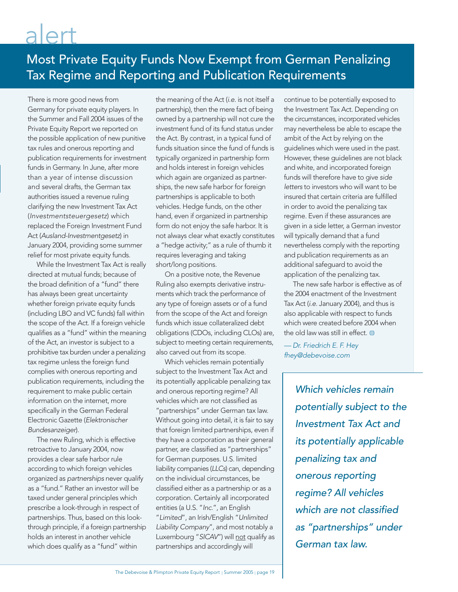# alert

# Most Private Equity Funds Now Exempt from German Penalizing Tax Regime and Reporting and Publication Requirements

There is more good news from Germany for private equity players. In the Summer and Fall 2004 issues of the Private Equity Report we reported on the possible application of new punitive tax rules and onerous reporting and publication requirements for investment funds in Germany. In June, after more than a year of intense discussion and several drafts, the German tax authorities issued a revenue ruling clarifying the new Investment Tax Act (Investmentsteuergesetz) which replaced the Foreign Investment Fund Act (Ausland-Investmentgesetz) in January 2004, providing some summer relief for most private equity funds.

While the Investment Tax Act is really directed at mutual funds; because of the broad definition of a "fund" there has always been great uncertainty whether foreign private equity funds (including LBO and VC funds) fall within the scope of the Act. If a foreign vehicle qualifies as a "fund" within the meaning of the Act, an investor is subject to a prohibitive tax burden under a penalizing tax regime unless the foreign fund complies with onerous reporting and publication requirements, including the requirement to make public certain information on the internet, more specifically in the German Federal Electronic Gazette (Elektronischer Bundesanzeiger).

The new Ruling, which is effective retroactive to January 2004, now provides a clear safe harbor rule according to which foreign vehicles organized as partnerships never qualify as a "fund." Rather an investor will be taxed under general principles which prescribe a look-through in respect of partnerships. Thus, based on this lookthrough principle, if a foreign partnership holds an interest in another vehicle which does qualify as a "fund" within

the meaning of the Act (i.e. is not itself a partnership), then the mere fact of being owned by a partnership will not cure the investment fund of its fund status under the Act. By contrast, in a typical fund of funds situation since the fund of funds is typically organized in partnership form and holds interest in foreign vehicles which again are organized as partnerships, the new safe harbor for foreign partnerships is applicable to both vehicles. Hedge funds, on the other hand, even if organized in partnership form do not enjoy the safe harbor. It is not always clear what exactly constitutes a "hedge activity;" as a rule of thumb it requires leveraging and taking short/long positions.

On a positive note, the Revenue Ruling also exempts derivative instruments which track the performance of any type of foreign assets or of a fund from the scope of the Act and foreign funds which issue collateralized debt obligations (CDOs, including CLOs) are, subject to meeting certain requirements, also carved out from its scope.

Which vehicles remain potentially subject to the Investment Tax Act and its potentially applicable penalizing tax and onerous reporting regime? All vehicles which are not classified as "partnerships" under German tax law. Without going into detail, it is fair to say that foreign limited partnerships, even if they have a corporation as their general partner, are classified as "partnerships" for German purposes. U.S. limited liability companies (LLCs) can, depending on the individual circumstances, be classified either as a partnership or as a corporation. Certainly all incorporated entities (a U.S. "Inc.", an English "Limited", an Irish/English "Unlimited Liability Company", and most notably a Luxembourg "SICAV") will not qualify as partnerships and accordingly will

continue to be potentially exposed to the Investment Tax Act. Depending on the circumstances, incorporated vehicles may nevertheless be able to escape the ambit of the Act by relying on the guidelines which were used in the past. However, these guidelines are not black and white, and incorporated foreign funds will therefore have to give side letters to investors who will want to be insured that certain criteria are fulfilled in order to avoid the penalizing tax regime. Even if these assurances are given in a side letter, a German investor will typically demand that a fund nevertheless comply with the reporting and publication requirements as an additional safeguard to avoid the application of the penalizing tax.

The new safe harbor is effective as of the 2004 enactment of the Investment Tax Act (i.e. January 2004), and thus is also applicable with respect to funds which were created before 2004 when the old law was still in effect.  $\bullet$ 

— Dr. Friedrich E. F. Hey fhey@debevoise.com

> Which vehicles remain potentially subject to the Investment Tax Act and its potentially applicable penalizing tax and onerous reporting regime? All vehicles which are not classified as "partnerships" under German tax law.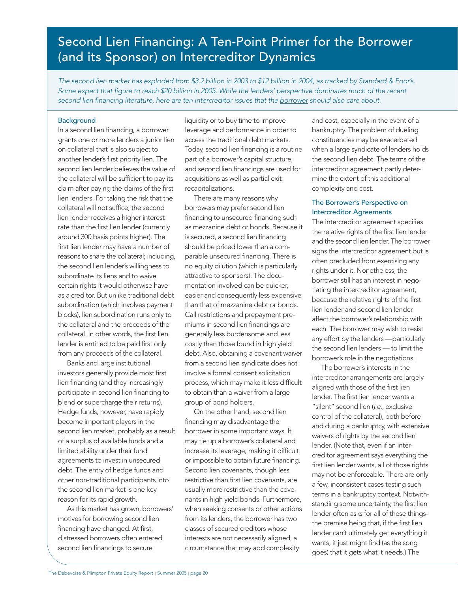# Second Lien Financing: A Ten-Point Primer for the Borrower (and its Sponsor) on Intercreditor Dynamics

The second lien market has exploded from \$3.2 billion in 2003 to \$12 billion in 2004, as tracked by Standard & Poor's. Some expect that figure to reach \$20 billion in 2005. While the lenders' perspective dominates much of the recent second lien financing literature, here are ten intercreditor issues that the borrower should also care about.

#### **Background**

In a second lien financing, a borrower grants one or more lenders a junior lien on collateral that is also subject to another lender's first priority lien. The second lien lender believes the value of the collateral will be sufficient to pay its claim after paying the claims of the first lien lenders. For taking the risk that the collateral will not suffice, the second lien lender receives a higher interest rate than the first lien lender (currently around 300 basis points higher). The first lien lender may have a number of reasons to share the collateral; including, the second lien lender's willingness to subordinate its liens and to waive certain rights it would otherwise have as a creditor. But unlike traditional debt subordination (which involves payment blocks), lien subordination runs only to the collateral and the proceeds of the collateral. In other words, the first lien lender is entitled to be paid first only from any proceeds of the collateral.

Banks and large institutional investors generally provide most first lien financing (and they increasingly participate in second lien financing to blend or supercharge their returns). Hedge funds, however, have rapidly become important players in the second lien market, probably as a result of a surplus of available funds and a limited ability under their fund agreements to invest in unsecured debt. The entry of hedge funds and other non-traditional participants into the second lien market is one key reason for its rapid growth.

As this market has grown, borrowers' motives for borrowing second lien financing have changed. At first, distressed borrowers often entered second lien financings to secure

liquidity or to buy time to improve leverage and performance in order to access the traditional debt markets. Today, second lien financing is a routine part of a borrower's capital structure, and second lien financings are used for acquisitions as well as partial exit recapitalizations.

There are many reasons why borrowers may prefer second lien financing to unsecured financing such as mezzanine debt or bonds. Because it is secured, a second lien financing should be priced lower than a comparable unsecured financing. There is no equity dilution (which is particularly attractive to sponsors). The documentation involved can be quicker, easier and consequently less expensive than that of mezzanine debt or bonds. Call restrictions and prepayment premiums in second lien financings are generally less burdensome and less costly than those found in high yield debt. Also, obtaining a covenant waiver from a second lien syndicate does not involve a formal consent solicitation process, which may make it less difficult to obtain than a waiver from a large group of bond holders.

On the other hand, second lien financing may disadvantage the borrower in some important ways. It may tie up a borrower's collateral and increase its leverage, making it difficult or impossible to obtain future financing. Second lien covenants, though less restrictive than first lien covenants, are usually more restrictive than the covenants in high yield bonds. Furthermore, when seeking consents or other actions from its lenders, the borrower has two classes of secured creditors whose interests are not necessarily aligned, a circumstance that may add complexity

and cost, especially in the event of a bankruptcy. The problem of dueling constituencies may be exacerbated when a large syndicate of lenders holds the second lien debt. The terms of the intercreditor agreement partly determine the extent of this additional complexity and cost.

#### The Borrower's Perspective on Intercreditor Agreements

The intercreditor agreement specifies the relative rights of the first lien lender and the second lien lender. The borrower signs the intercreditor agreement but is often precluded from exercising any rights under it. Nonetheless, the borrower still has an interest in negotiating the intercreditor agreement, because the relative rights of the first lien lender and second lien lender affect the borrower's relationship with each. The borrower may wish to resist any effort by the lenders —particularly the second lien lenders — to limit the borrower's role in the negotiations.

The borrower's interests in the intercreditor arrangements are largely aligned with those of the first lien lender. The first lien lender wants a "silent" second lien (i.e., exclusive control of the collateral), both before and during a bankruptcy, with extensive waivers of rights by the second lien lender. (Note that, even if an intercreditor agreement says everything the first lien lender wants, all of those rights may not be enforceable. There are only a few, inconsistent cases testing such terms in a bankruptcy context. Notwithstanding some uncertainty, the first lien lender often asks for all of these thingsthe premise being that, if the first lien lender can't ultimately get everything it wants, it just might find (as the song goes) that it gets what it needs.) The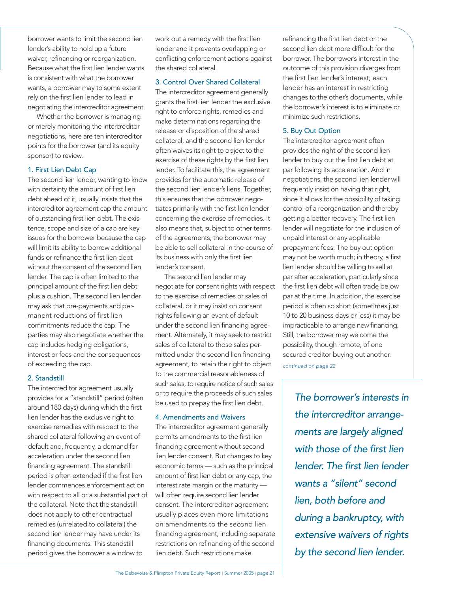borrower wants to limit the second lien lender's ability to hold up a future waiver, refinancing or reorganization. Because what the first lien lender wants is consistent with what the borrower wants, a borrower may to some extent rely on the first lien lender to lead in negotiating the intercreditor agreement.

Whether the borrower is managing or merely monitoring the intercreditor negotiations, here are ten intercreditor points for the borrower (and its equity sponsor) to review.

#### 1. First Lien Debt Cap

The second lien lender, wanting to know with certainty the amount of first lien debt ahead of it, usually insists that the intercreditor agreement cap the amount of outstanding first lien debt. The existence, scope and size of a cap are key issues for the borrower because the cap will limit its ability to borrow additional funds or refinance the first lien debt without the consent of the second lien lender. The cap is often limited to the principal amount of the first lien debt plus a cushion. The second lien lender may ask that pre-payments and permanent reductions of first lien commitments reduce the cap. The parties may also negotiate whether the cap includes hedging obligations, interest or fees and the consequences of exceeding the cap.

#### 2. Standstill

The intercreditor agreement usually provides for a "standstill" period (often around 180 days) during which the first lien lender has the exclusive right to exercise remedies with respect to the shared collateral following an event of default and, frequently, a demand for acceleration under the second lien financing agreement. The standstill period is often extended if the first lien lender commences enforcement action with respect to all or a substantial part of the collateral. Note that the standstill does not apply to other contractual remedies (unrelated to collateral) the second lien lender may have under its financing documents. This standstill period gives the borrower a window to

work out a remedy with the first lien lender and it prevents overlapping or conflicting enforcement actions against the shared collateral.

#### 3. Control Over Shared Collateral

The intercreditor agreement generally grants the first lien lender the exclusive right to enforce rights, remedies and make determinations regarding the release or disposition of the shared collateral, and the second lien lender often waives its right to object to the exercise of these rights by the first lien lender. To facilitate this, the agreement provides for the automatic release of the second lien lender's liens. Together, this ensures that the borrower negotiates primarily with the first lien lender concerning the exercise of remedies. It also means that, subject to other terms of the agreements, the borrower may be able to sell collateral in the course of its business with only the first lien lender's consent.

The second lien lender may negotiate for consent rights with respect to the exercise of remedies or sales of collateral, or it may insist on consent rights following an event of default under the second lien financing agreement. Alternately, it may seek to restrict sales of collateral to those sales permitted under the second lien financing agreement, to retain the right to object to the commercial reasonableness of such sales, to require notice of such sales or to require the proceeds of such sales be used to prepay the first lien debt.

#### 4. Amendments and Waivers

The intercreditor agreement generally permits amendments to the first lien financing agreement without second lien lender consent. But changes to key economic terms — such as the principal amount of first lien debt or any cap, the interest rate margin or the maturity will often require second lien lender consent. The intercreditor agreement usually places even more limitations on amendments to the second lien financing agreement, including separate restrictions on refinancing of the second lien debt. Such restrictions make

refinancing the first lien debt or the second lien debt more difficult for the borrower. The borrower's interest in the outcome of this provision diverges from the first lien lender's interest; each lender has an interest in restricting changes to the other's documents, while the borrower's interest is to eliminate or minimize such restrictions.

#### 5. Buy Out Option

The intercreditor agreement often provides the right of the second lien lender to buy out the first lien debt at par following its acceleration. And in negotiations, the second lien lender will frequently insist on having that right, since it allows for the possibility of taking control of a reorganization and thereby getting a better recovery. The first lien lender will negotiate for the inclusion of unpaid interest or any applicable prepayment fees. The buy out option may not be worth much; in theory, a first lien lender should be willing to sell at par after acceleration, particularly since the first lien debt will often trade below par at the time. In addition, the exercise period is often so short (sometimes just 10 to 20 business days or less) it may be impracticable to arrange new financing. Still, the borrower may welcome the possibility, though remote, of one secured creditor buying out another.

continued on page 22

The borrower's interests in the intercreditor arrangements are largely aligned with those of the first lien lender. The first lien lender wants a "silent" second lien, both before and during a bankruptcy, with extensive waivers of rights by the second lien lender.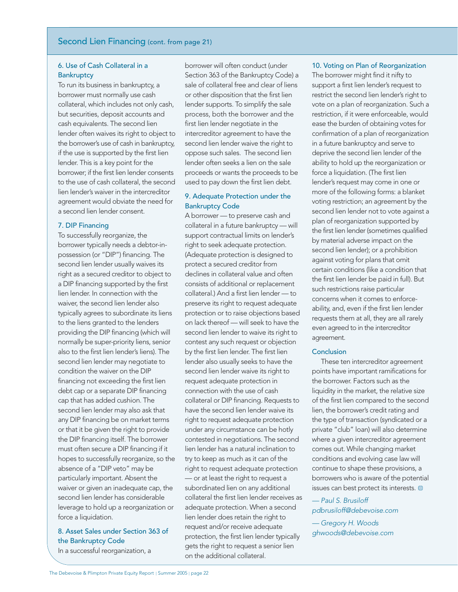#### Second Lien Financing (cont. from page 21)

#### 6. Use of Cash Collateral in a **Bankruptcy**

To run its business in bankruptcy, a borrower must normally use cash collateral, which includes not only cash, but securities, deposit accounts and cash equivalents. The second lien lender often waives its right to object to the borrower's use of cash in bankruptcy, if the use is supported by the first lien lender. This is a key point for the borrower; if the first lien lender consents to the use of cash collateral, the second lien lender's waiver in the intercreditor agreement would obviate the need for a second lien lender consent.

#### 7. DIP Financing

To successfully reorganize, the borrower typically needs a debtor-inpossession (or "DIP") financing. The second lien lender usually waives its right as a secured creditor to object to a DIP financing supported by the first lien lender. In connection with the waiver, the second lien lender also typically agrees to subordinate its liens to the liens granted to the lenders providing the DIP financing (which will normally be super-priority liens, senior also to the first lien lender's liens). The second lien lender may negotiate to condition the waiver on the DIP financing not exceeding the first lien debt cap or a separate DIP financing cap that has added cushion. The second lien lender may also ask that any DIP financing be on market terms or that it be given the right to provide the DIP financing itself. The borrower must often secure a DIP financing if it hopes to successfully reorganize, so the absence of a "DIP veto" may be particularly important. Absent the waiver or given an inadequate cap, the second lien lender has considerable leverage to hold up a reorganization or force a liquidation.

# 8. Asset Sales under Section 363 of the Bankruptcy Code

In a successful reorganization, a

borrower will often conduct (under Section 363 of the Bankruptcy Code) a sale of collateral free and clear of liens or other disposition that the first lien lender supports. To simplify the sale process, both the borrower and the first lien lender negotiate in the intercreditor agreement to have the second lien lender waive the right to oppose such sales. The second lien lender often seeks a lien on the sale proceeds or wants the proceeds to be used to pay down the first lien debt.

#### 9. Adequate Protection under the Bankruptcy Code

A borrower — to preserve cash and collateral in a future bankruptcy — will support contractual limits on lender's right to seek adequate protection. (Adequate protection is designed to protect a secured creditor from declines in collateral value and often consists of additional or replacement collateral.) And a first lien lender — to preserve its right to request adequate protection or to raise objections based on lack thereof — will seek to have the second lien lender to waive its right to contest any such request or objection by the first lien lender. The first lien lender also usually seeks to have the second lien lender waive its right to request adequate protection in connection with the use of cash collateral or DIP financing. Requests to have the second lien lender waive its right to request adequate protection under any circumstance can be hotly contested in negotiations. The second lien lender has a natural inclination to try to keep as much as it can of the right to request adequate protection — or at least the right to request a subordinated lien on any additional collateral the first lien lender receives as adequate protection. When a second lien lender does retain the right to request and/or receive adequate protection, the first lien lender typically gets the right to request a senior lien on the additional collateral.

#### 10. Voting on Plan of Reorganization

The borrower might find it nifty to support a first lien lender's request to restrict the second lien lender's right to vote on a plan of reorganization. Such a restriction, if it were enforceable, would ease the burden of obtaining votes for confirmation of a plan of reorganization in a future bankruptcy and serve to deprive the second lien lender of the ability to hold up the reorganization or force a liquidation. (The first lien lender's request may come in one or more of the following forms: a blanket voting restriction; an agreement by the second lien lender not to vote against a plan of reorganization supported by the first lien lender (sometimes qualified by material adverse impact on the second lien lender); or a prohibition against voting for plans that omit certain conditions (like a condition that the first lien lender be paid in full). But such restrictions raise particular concerns when it comes to enforceability, and, even if the first lien lender requests them at all, they are all rarely even agreed to in the intercreditor agreement.

#### Conclusion

These ten intercreditor agreement points have important ramifications for the borrower. Factors such as the liquidity in the market, the relative size of the first lien compared to the second lien, the borrower's credit rating and the type of transaction (syndicated or a private "club" loan) will also determine where a given intercreditor agreement comes out. While changing market conditions and evolving case law will continue to shape these provisions, a borrowers who is aware of the potential issues can best protect its interests.

— Paul S. Brusiloff pdbrusiloff@debevoise.com

— Gregory H. Woods ghwoods@debevoise.com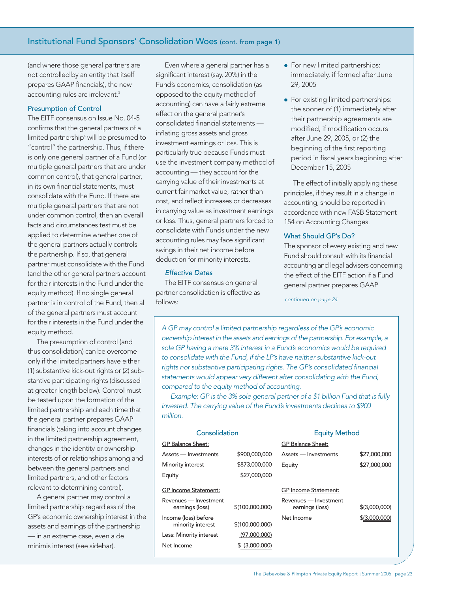(and where those general partners are not controlled by an entity that itself prepares GAAP financials), the new accounting rules are irrelevant.<sup>3</sup>

#### Presumption of Control

The EITF consensus on Issue No. 04-5 confirms that the general partners of a limited partnership4 will be presumed to "control" the partnership. Thus, if there is only one general partner of a Fund (or multiple general partners that are under common control), that general partner, in its own financial statements, must consolidate with the Fund. If there are multiple general partners that are not under common control, then an overall facts and circumstances test must be applied to determine whether one of the general partners actually controls the partnership. If so, that general partner must consolidate with the Fund (and the other general partners account for their interests in the Fund under the equity method). If no single general partner is in control of the Fund, then all of the general partners must account for their interests in the Fund under the equity method.

The presumption of control (and thus consolidation) can be overcome only if the limited partners have either (1) substantive kick-out rights or (2) substantive participating rights (discussed at greater length below). Control must be tested upon the formation of the limited partnership and each time that the general partner prepares GAAP financials (taking into account chang in the limited partnership agreemer changes in the identity or ownership interests of or relationships among between the general partners and limited partners, and other factors relevant to determining control).

A general partner may control a limited partnership regardless of th GP's economic ownership interest in assets and earnings of the partners — in an extreme case, even a de minimis interest (see sidebar).

Even where a general partner has a significant interest (say, 20%) in the Fund's economics, consolidation (as opposed to the equity method of accounting) can have a fairly extreme effect on the general partner's consolidated financial statements inflating gross assets and gross investment earnings or loss. This is particularly true because Funds must use the investment company method of accounting — they account for the carrying value of their investments at current fair market value, rather than cost, and reflect increases or decreases in carrying value as investment earnings or loss. Thus, general partners forced to consolidate with Funds under the new accounting rules may face significant swings in their net income before deduction for minority interests.

#### Effective Dates

The EITF consensus on general partner consolidation is effective as follows:

- For new limited partnerships: immediately, if formed after June 29, 2005
- For existing limited partnerships: the sooner of (1) immediately after their partnership agreements are modified, if modification occurs after June 29, 2005, or (2) the beginning of the first reporting period in fiscal years beginning after December 15, 2005

The effect of initially applying these principles, if they result in a change in accounting, should be reported in accordance with new FASB Statement 154 on Accounting Changes.

#### What Should GP's Do?

The sponsor of every existing and new Fund should consult with its financial accounting and legal advisers concerning the effect of the EITF action if a Fund general partner prepares GAAP

continued on page 24

A GP may control a limited partnership regardless of the GP's economic ownership interest in the assets and earnings of the partnership. For example, <sup>a</sup> sole GP having a mere 3% interest in a Fund's economics would be required to consolidate with the Fund, if the LP's have neither substantive kick-out rights nor substantive participating rights. The GP's consolidated financial statements would appear very different after consolidating with the Fund, compared to the equity method of accounting.

Example: GP is the 3% sole general partner of a \$1 billion Fund that is fully invested. The carrying value of the Fund's investments declines to \$900 million.

| ges<br>nt,<br>p<br>and | Consolidation                             |                 | <b>Equity Method</b>                     |               |
|------------------------|-------------------------------------------|-----------------|------------------------------------------|---------------|
|                        | <b>GP Balance Sheet:</b>                  |                 | <b>GP Balance Sheet:</b>                 |               |
|                        | Assets - Investments                      | \$900,000,000   | Assets - Investments                     | \$27,000,000  |
|                        | Minority interest                         | \$873,000,000   | Equity                                   | \$27,000,000  |
|                        | Equity                                    | \$27,000,000    |                                          |               |
|                        | <b>GP</b> Income Statement:               |                 | <b>GP</b> Income Statement:              |               |
| е<br>n the<br>hip      | Revenues - Investment<br>earnings (loss)  | \$(100,000,000) | Revenues - Investment<br>earnings (loss) | \$(3,000,000) |
|                        | Income (loss) before<br>minority interest | \$(100,000,000) | Net Income                               | \$(3,000,000) |
|                        | Less: Minority interest                   | (97,000,000)    |                                          |               |
|                        | Net Income                                | \$ (3,000,000)  |                                          |               |
|                        |                                           |                 |                                          |               |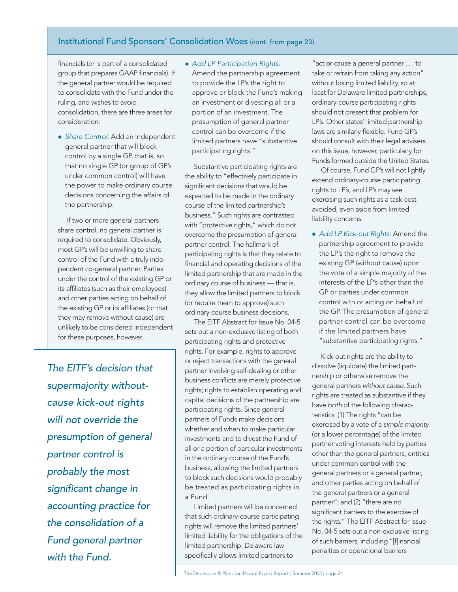## Institutional Fund Sponsors' Consolidation Woes (cont. from page 23)

financials (or is part of a consolidated group that prepares GAAP financials). If the general partner would be required to consolidate with the Fund under the ruling, and wishes to avoid consolidation, there are three areas for consideration:

• Share Control: Add an independent general partner that will block control by a single GP, that is, so that no single GP (or group of GP's under common control) will have the power to make ordinary course decisions concerning the affairs of the partnership.

If two or more general partners share control, no general partner is required to consolidate. Obviously, most GP's will be unwilling to share control of the Fund with a truly independent co-general partner. Parties under the control of the existing GP or its affiliates (such as their employees) and other parties acting on behalf of the existing GP or its affiliates (or that they may remove without cause) are unlikely to be considered independent for these purposes, however.

The EITF's decision that supermajority withoutcause kick-out rights will not override the presumption of general partner control is probably the most significant change in accounting practice for the consolidation of a Fund general partner with the Fund.

#### • Add LP Participation Rights:

Amend the partnership agreement to provide the LP's the right to approve or block the Fund's making an investment or divesting all or a portion of an investment. The presumption of general partner control can be overcome if the limited partners have "substantive participating rights."

Substantive participating rights are the ability to "effectively participate in significant decisions that would be expected to be made in the ordinary course of the limited partnership's business." Such rights are contrasted with "protective rights," which do not overcome the presumption of general partner control. The hallmark of participating rights is that they relate to financial and operating decisions of the limited partnership that are made in the ordinary course of business — that is, they allow the limited partners to block (or require them to approve) such ordinary-course business decisions.

The EITF Abstract for Issue No. 04-5 sets out a non-exclusive listing of both participating rights and protective rights. For example, rights to approve or reject transactions with the general partner involving self-dealing or other business conflicts are merely protective rights; rights to establish operating and capital decisions of the partnership are participating rights. Since general partners of Funds make decisions whether and when to make particular investments and to divest the Fund of all or a portion of particular investments in the ordinary course of the Fund's business, allowing the limited partners to block such decisions would probably be treated as participating rights in a Fund.

Limited partners will be concerned that such ordinary-course participating rights will remove the limited partners' limited liability for the obligations of the limited partnership. Delaware law specifically allows limited partners to

"act or cause a general partner . . . to take or refrain from taking any action" without losing limited liability, so at least for Delaware limited partnerships, ordinary-course participating rights should not present that problem for LP's. Other states' limited partnership laws are similarly flexible. Fund GP's should consult with their legal advisers on this issue, however, particularly for Funds formed outside the United States.

Of course, Fund GP's will not lightly extend ordinary-course participating rights to LP's, and LP's may see exercising such rights as a task best avoided, even aside from limited liability concerns.

• Add LP Kick-out Rights: Amend the partnership agreement to provide the LP's the right to remove the existing GP (without cause) upon the vote of a simple majority of the interests of the LP's other than the GP or parties under common control with or acting on behalf of the GP. The presumption of general partner control can be overcome if the limited partners have "substantive participating rights."

Kick-out rights are the ability to dissolve (liquidate) the limited partnership or otherwise remove the general partners without cause. Such rights are treated as substantive if they have both of the following characteristics: (1) The rights "can be exercised by a vote of a simple majority (or a lower percentage) of the limited partner voting interests held by parties other than the general partners, entities under common control with the general partners or a general partner, and other parties acting on behalf of the general partners or a general partner"; and (2) "there are no significant barriers to the exercise of the rights." The EITF Abstract for Issue No. 04-5 sets out a non-exclusive listing of such barriers, including "[f]inancial penalties or operational barriers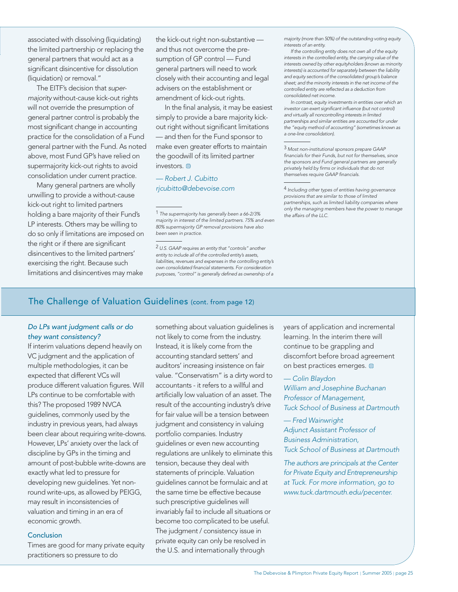associated with dissolving (liquidating) the limited partnership or replacing the general partners that would act as a significant disincentive for dissolution (liquidation) or removal."

The EITF's decision that supermajority without-cause kick-out rights will not override the presumption of general partner control is probably the most significant change in accounting practice for the consolidation of a Fund general partner with the Fund. As noted above, most Fund GP's have relied on supermajority kick-out rights to avoid consolidation under current practice.

Many general partners are wholly unwilling to provide a without-cause kick-out right to limited partners holding a bare majority of their Fund's LP interests. Others may be willing to do so only if limitations are imposed on the right or if there are significant disincentives to the limited partners' exercising the right. Because such limitations and disincentives may make

the kick-out right non-substantive and thus not overcome the presumption of GP control — Fund general partners will need to work closely with their accounting and legal advisers on the establishment or amendment of kick-out rights.

In the final analysis, it may be easiest simply to provide a bare majority kickout right without significant limitations — and then for the Fund sponsor to make even greater efforts to maintain the goodwill of its limited partner investors.

#### — Robert J. Cubitto rjcubitto@debevoise.com

1 The supermajority has generally been a 66-2/3% majority in interest of the limited partners. 75% and even 80% supermajority GP removal provisions have also been seen in practice.

2 U.S. GAAP requires an entity that "controls" another entity to include all of the controlled entity's assets, liabilities, revenues and expenses in the controlling entity's own consolidated financial statements. For consideration purposes, "control" is generally defined as ownership of a

majority (more than 50%) of the outstanding voting equity interests of an entity.

If the controlling entity does not own all of the equity interests in the controlled entity, the carrying value of the interests owned by other equityholders (known as minority interests) is accounted for separately between the liability and equity sections of the consolidated group's balance sheet; and the minority interests in the net income of the controlled entity are reflected as a deduction from consolidated net income.

In contrast, equity investments in entities over which an investor can exert significant influence (but not control) and virtually all noncontrolling interests in limited partnerships and similar entities are accounted for under the "equity method of accounting" (sometimes known as a one-line consolidation).

3 Most non-institutional sponsors prepare GAAP financials for their Funds, but not for themselves, since the sponsors and Fund general partners are generally privately held by firms or individuals that do not themselves require GAAP financials.

4 Including other types of entities having governance provisions that are similar to those of limited partnerships, such as limited liability companies where only the managing members have the power to manage the affairs of the LLC.

# The Challenge of Valuation Guidelines (cont. from page 12)

#### Do LPs want judgment calls or do they want consistency?

If interim valuations depend heavily on VC judgment and the application of multiple methodologies, it can be expected that different VCs will produce different valuation figures. Will LPs continue to be comfortable with this? The proposed 1989 NVCA guidelines, commonly used by the industry in previous years, had always been clear about requiring write-downs. However, LPs' anxiety over the lack of discipline by GPs in the timing and amount of post-bubble write-downs are exactly what led to pressure for developing new guidelines. Yet nonround write-ups, as allowed by PEIGG, may result in inconsistencies of valuation and timing in an era of economic growth.

#### **Conclusion**

Times are good for many private equity practitioners so pressure to do

something about valuation guidelines is not likely to come from the industry. Instead, it is likely come from the accounting standard setters' and auditors' increasing insistence on fair value. "Conservatism" is a dirty word to accountants - it refers to a willful and artificially low valuation of an asset. The result of the accounting industry's drive for fair value will be a tension between judgment and consistency in valuing portfolio companies. Industry guidelines or even new accounting regulations are unlikely to eliminate this tension, because they deal with statements of principle. Valuation guidelines cannot be formulaic and at the same time be effective because such prescriptive guidelines will invariably fail to include all situations or become too complicated to be useful. The judgment / consistency issue in private equity can only be resolved in the U.S. and internationally through

years of application and incremental learning. In the interim there will continue to be grappling and discomfort before broad agreement on best practices emerges.

— Colin Blaydon William and Josephine Buchanan Professor of Management, Tuck School of Business at Dartmouth

— Fred Wainwright Adjunct Assistant Professor of Business Administration, Tuck School of Business at Dartmouth

The authors are principals at the Center for Private Equity and Entrepreneurship at Tuck. For more information, go to www.tuck.dartmouth.edu/pecenter.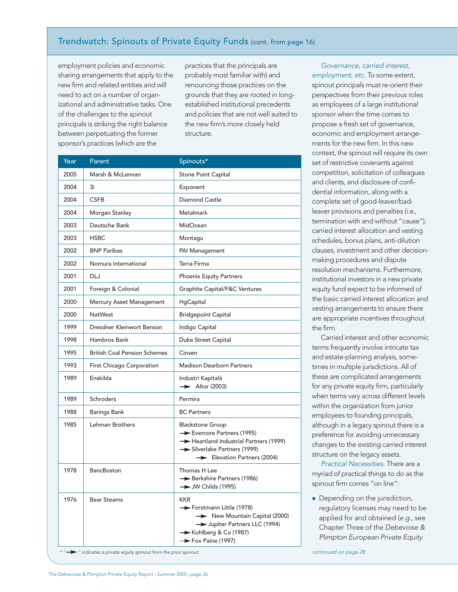# Trendwatch: Spinouts of Private Equity Funds (cont. from page 16)

employment policies and economic sharing arrangements that apply to the new firm and related entities and will need to act on a number of organizational and administrative tasks. One of the challenges to the spinout principals is striking the right balance between perpetuating the former sponsor's practices (which are the

practices that the principals are probably most familiar with) and renouncing those practices on the grounds that they are rooted in longestablished institutional precedents and policies that are not well suited to the new firm's more closely held structure.

| Year | Parent                                                                     | Spinouts*                                                                                                                                                | context, the spino<br>set of restrictive co<br>competition, solici                               |  |
|------|----------------------------------------------------------------------------|----------------------------------------------------------------------------------------------------------------------------------------------------------|--------------------------------------------------------------------------------------------------|--|
| 2005 | Marsh & McLennan                                                           | Stone Point Capital                                                                                                                                      |                                                                                                  |  |
| 2004 | 3i                                                                         | Exponent                                                                                                                                                 | and clients, and di<br>dential information<br>complete set of go                                 |  |
| 2004 | <b>CSFB</b>                                                                | Diamond Castle                                                                                                                                           |                                                                                                  |  |
| 2004 | Morgan Stanley                                                             | <b>Metalmark</b>                                                                                                                                         | leaver provisions a                                                                              |  |
| 2003 | Deutsche Bank                                                              | MidOcean                                                                                                                                                 | termination with a                                                                               |  |
| 2003 | <b>HSBC</b>                                                                | Montagu                                                                                                                                                  | carried interest all<br>schedules, bonus                                                         |  |
| 2002 | <b>BNP Paribas</b>                                                         | PAI Management                                                                                                                                           | clauses, investmer<br>making procedure                                                           |  |
| 2002 | Nomura International                                                       | Terra Firma                                                                                                                                              |                                                                                                  |  |
| 2001 | DLJ                                                                        | <b>Phoenix Equity Partners</b>                                                                                                                           | resolution mechar<br>institutional invest                                                        |  |
| 2001 | Foreign & Colonial                                                         | Graphite Capital/F&C Ventures                                                                                                                            | equity fund expec                                                                                |  |
| 2000 | Mercury Asset Management                                                   | HgCapital                                                                                                                                                | the basic carried ir<br>vesting arrangeme<br>are appropriate in<br>the firm.<br>Carried interest |  |
| 2000 | <b>NatWest</b>                                                             | <b>Bridgepoint Capital</b>                                                                                                                               |                                                                                                  |  |
| 1999 | Dresdner Kleinwort Benson                                                  | Indigo Capital                                                                                                                                           |                                                                                                  |  |
| 1998 | Hambros Bank                                                               | Duke Street Capital                                                                                                                                      |                                                                                                  |  |
| 1995 | <b>British Coal Pension Schemes</b>                                        | Cinven                                                                                                                                                   | terms frequently ir<br>and estate-plannir<br>times in multiple ju                                |  |
| 1993 | First Chicago Corporation                                                  | <b>Madison Dearborn Partners</b>                                                                                                                         |                                                                                                  |  |
| 1989 | Enskilda                                                                   | Industri Kapitalà<br>$\rightarrow$ Altor (2003)                                                                                                          | these are complica<br>for any private equ                                                        |  |
| 1989 | <b>Schroders</b>                                                           | Permira                                                                                                                                                  | when terms vary a                                                                                |  |
| 1988 | <b>Barings Bank</b>                                                        | <b>BC Partners</b>                                                                                                                                       | within the organiza<br>employees to four                                                         |  |
| 1985 | Lehman Brothers                                                            | <b>Blackstone Group</b><br>Evercore Partners (1995)<br>Heartland Industrial Partners (1999)<br>Silverlake Partners (1999)<br>Elevation Partners (2004)   | although in a lega<br>preference for avc<br>changes to the ex<br>structure on the le             |  |
| 1978 | BancBoston                                                                 | Thomas H Lee<br>Berkshire Partners (1986)<br>$\rightarrow$ JW Childs (1995)                                                                              | <b>Practical Nece</b><br>myriad of practica<br>spinout firm come                                 |  |
| 1976 | <b>Bear Steams</b>                                                         | KKR<br>Forstmann Little (1978)<br>New Mountain Capital (2000)<br>> Jupiter Partners LLC (1994)<br>Kohlberg & Co (1987)<br>$\rightarrow$ Fox Paine (1997) | • Depending on<br>regulatory licer<br>applied for and<br>Chapter Three<br>Plimpton Europ         |  |
|      | $\rightarrow$ " indicates a private equity spinout from the prior spinout. |                                                                                                                                                          | continued on page 28                                                                             |  |

Governance, carried interest, employment, etc. To some extent, spinout principals must re-orient their perspectives from their previous roles as employees of a large institutional sponsor when the time comes to propose a fresh set of governance, economic and employment arrangements for the new firm. In this new context, the spinout will require its own set of restrictive covenants against competition, solicitation of colleagues and clients, and disclosure of confidential information, along with a complete set of good-leaver/badleaver provisions and penalties (i.e., termination with and without "cause"), carried interest allocation and vesting schedules, bonus plans, anti-dilution clauses, investment and other decisionmaking procedures and dispute resolution mechanisms. Furthermore, institutional investors in a new private equity fund expect to be informed of the basic carried interest allocation and vesting arrangements to ensure there are appropriate incentives throughout the firm.

Carried interest and other economic terms frequently involve intricate tax and estate-planning analysis, sometimes in multiple jurisdictions. All of these are complicated arrangements for any private equity firm, particularly when terms vary across different levels within the organization from junior employees to founding principals, although in a legacy spinout there is a preference for avoiding unnecessary changes to the existing carried interest structure on the legacy assets.

Practical Necessities. There are a myriad of practical things to do as the spinout firm comes "on line":

• Depending on the jurisdiction, regulatory licenses may need to be applied for and obtained (e.g., see Chapter Three of the Debevoise & Plimpton European Private Equity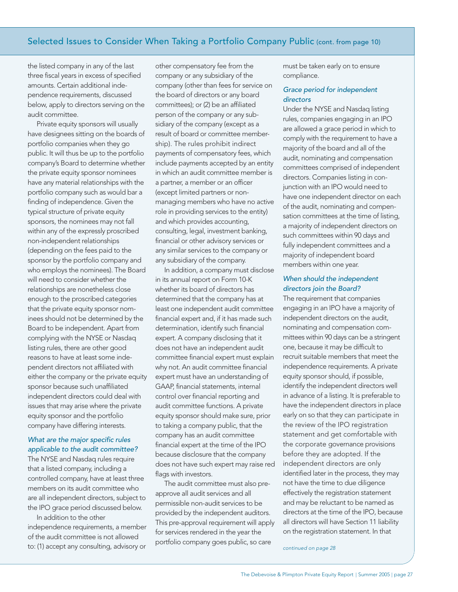## Selected Issues to Consider When Taking a Portfolio Company Public (cont. from page 10)

the listed company in any of the last three fiscal years in excess of specified amounts. Certain additional independence requirements, discussed below, apply to directors serving on the audit committee.

Private equity sponsors will usually have designees sitting on the boards of portfolio companies when they go public. It will thus be up to the portfolio company's Board to determine whether the private equity sponsor nominees have any material relationships with the portfolio company such as would bar a finding of independence. Given the typical structure of private equity sponsors, the nominees may not fall within any of the expressly proscribed non-independent relationships (depending on the fees paid to the sponsor by the portfolio company and who employs the nominees). The Board will need to consider whether the relationships are nonetheless close enough to the proscribed categories that the private equity sponsor nominees should not be determined by the Board to be independent. Apart from complying with the NYSE or Nasdaq listing rules, there are other good reasons to have at least some independent directors not affiliated with either the company or the private equity sponsor because such unaffiliated independent directors could deal with issues that may arise where the private equity sponsor and the portfolio company have differing interests.

#### What are the major specific rules applicable to the audit committee?

The NYSE and Nasdaq rules require that a listed company, including a controlled company, have at least three members on its audit committee who are all independent directors, subject to the IPO grace period discussed below.

In addition to the other independence requirements, a member of the audit committee is not allowed to: (1) accept any consulting, advisory or

other compensatory fee from the company or any subsidiary of the company (other than fees for service on the board of directors or any board committees); or (2) be an affiliated person of the company or any subsidiary of the company (except as a result of board or committee membership). The rules prohibit indirect payments of compensatory fees, which include payments accepted by an entity in which an audit committee member is a partner, a member or an officer (except limited partners or nonmanaging members who have no active role in providing services to the entity) and which provides accounting, consulting, legal, investment banking, financial or other advisory services or any similar services to the company or any subsidiary of the company.

In addition, a company must disclose in its annual report on Form 10-K whether its board of directors has determined that the company has at least one independent audit committee financial expert and, if it has made such determination, identify such financial expert. A company disclosing that it does not have an independent audit committee financial expert must explain why not. An audit committee financial expert must have an understanding of GAAP, financial statements, internal control over financial reporting and audit committee functions. A private equity sponsor should make sure, prior to taking a company public, that the company has an audit committee financial expert at the time of the IPO because disclosure that the company does not have such expert may raise red flags with investors.

The audit committee must also preapprove all audit services and all permissible non-audit services to be provided by the independent auditors. This pre-approval requirement will apply for services rendered in the year the portfolio company goes public, so care

must be taken early on to ensure compliance.

#### Grace period for independent directors

Under the NYSE and Nasdaq listing rules, companies engaging in an IPO are allowed a grace period in which to comply with the requirement to have a majority of the board and all of the audit, nominating and compensation committees comprised of independent directors. Companies listing in conjunction with an IPO would need to have one independent director on each of the audit, nominating and compensation committees at the time of listing, a majority of independent directors on such committees within 90 days and fully independent committees and a majority of independent board members within one year.

#### When should the independent directors join the Board?

The requirement that companies engaging in an IPO have a majority of independent directors on the audit, nominating and compensation committees within 90 days can be a stringent one, because it may be difficult to recruit suitable members that meet the independence requirements. A private equity sponsor should, if possible, identify the independent directors well in advance of a listing. It is preferable to have the independent directors in place early on so that they can participate in the review of the IPO registration statement and get comfortable with the corporate governance provisions before they are adopted. If the independent directors are only identified later in the process, they may not have the time to due diligence effectively the registration statement and may be reluctant to be named as directors at the time of the IPO, because all directors will have Section 11 liability on the registration statement. In that